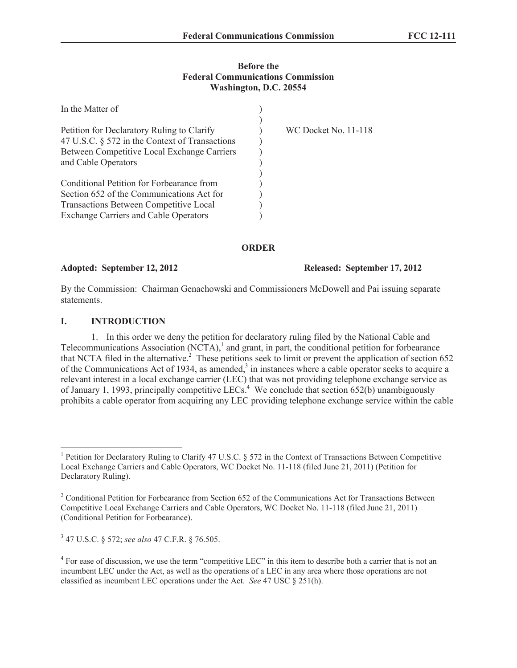### **Before the Federal Communications Commission Washington, D.C. 20554**

| In the Matter of                               |                             |
|------------------------------------------------|-----------------------------|
|                                                |                             |
| Petition for Declaratory Ruling to Clarify     | <b>WC Docket No. 11-118</b> |
| 47 U.S.C. § 572 in the Context of Transactions |                             |
| Between Competitive Local Exchange Carriers    |                             |
| and Cable Operators                            |                             |
|                                                |                             |
| Conditional Petition for Forbearance from      |                             |
| Section 652 of the Communications Act for      |                             |
| Transactions Between Competitive Local         |                             |
| <b>Exchange Carriers and Cable Operators</b>   |                             |

**ORDER**

# **Adopted: September 12, 2012 Released: September 17, 2012**

By the Commission: Chairman Genachowski and Commissioners McDowell and Pai issuing separate statements.

### **I. INTRODUCTION**

1. In this order we deny the petition for declaratory ruling filed by the National Cable and Telecommunications Association  $(NCTA)$ ,<sup>1</sup> and grant, in part, the conditional petition for forbearance that NCTA filed in the alternative.<sup>2</sup> These petitions seek to limit or prevent the application of section 652 of the Communications Act of 1934, as amended, $3$  in instances where a cable operator seeks to acquire a relevant interest in a local exchange carrier (LEC) that was not providing telephone exchange service as of January 1, 1993, principally competitive LECs.<sup>4</sup> We conclude that section 652(b) unambiguously prohibits a cable operator from acquiring any LEC providing telephone exchange service within the cable

3 47 U.S.C. § 572; *see also* 47 C.F.R. § 76.505.

<sup>&</sup>lt;sup>1</sup> Petition for Declaratory Ruling to Clarify 47 U.S.C. § 572 in the Context of Transactions Between Competitive Local Exchange Carriers and Cable Operators, WC Docket No. 11-118 (filed June 21, 2011) (Petition for Declaratory Ruling).

<sup>&</sup>lt;sup>2</sup> Conditional Petition for Forbearance from Section 652 of the Communications Act for Transactions Between Competitive Local Exchange Carriers and Cable Operators, WC Docket No. 11-118 (filed June 21, 2011) (Conditional Petition for Forbearance).

<sup>&</sup>lt;sup>4</sup> For ease of discussion, we use the term "competitive LEC" in this item to describe both a carrier that is not an incumbent LEC under the Act, as well as the operations of a LEC in any area where those operations are not classified as incumbent LEC operations under the Act. *See* 47 USC § 251(h).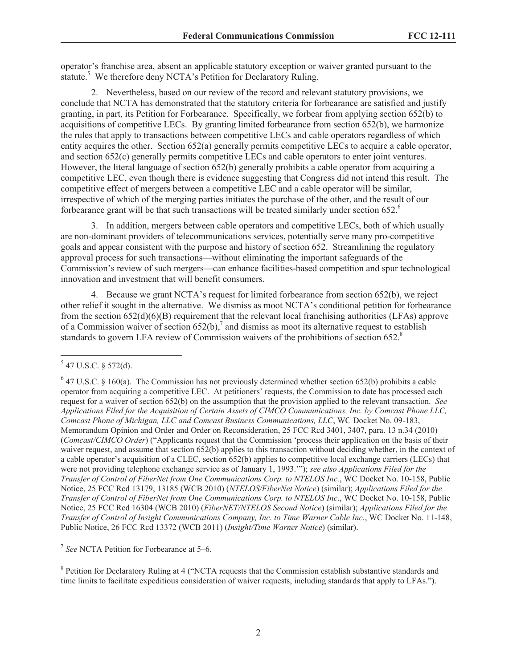operator's franchise area, absent an applicable statutory exception or waiver granted pursuant to the statute.<sup>5</sup> We therefore deny NCTA's Petition for Declaratory Ruling.

2. Nevertheless, based on our review of the record and relevant statutory provisions, we conclude that NCTA has demonstrated that the statutory criteria for forbearance are satisfied and justify granting, in part, its Petition for Forbearance. Specifically, we forbear from applying section 652(b) to acquisitions of competitive LECs. By granting limited forbearance from section 652(b), we harmonize the rules that apply to transactions between competitive LECs and cable operators regardless of which entity acquires the other. Section 652(a) generally permits competitive LECs to acquire a cable operator, and section 652(c) generally permits competitive LECs and cable operators to enter joint ventures. However, the literal language of section 652(b) generally prohibits a cable operator from acquiring a competitive LEC, even though there is evidence suggesting that Congress did not intend this result. The competitive effect of mergers between a competitive LEC and a cable operator will be similar, irrespective of which of the merging parties initiates the purchase of the other, and the result of our forbearance grant will be that such transactions will be treated similarly under section  $652<sup>6</sup>$ 

3. In addition, mergers between cable operators and competitive LECs, both of which usually are non-dominant providers of telecommunications services, potentially serve many pro-competitive goals and appear consistent with the purpose and history of section 652. Streamlining the regulatory approval process for such transactions—without eliminating the important safeguards of the Commission's review of such mergers—can enhance facilities-based competition and spur technological innovation and investment that will benefit consumers.

4. Because we grant NCTA's request for limited forbearance from section 652(b), we reject other relief it sought in the alternative. We dismiss as moot NCTA's conditional petition for forbearance from the section 652(d)(6)(B) requirement that the relevant local franchising authorities (LFAs) approve of a Commission waiver of section 652(b),<sup>7</sup> and dismiss as moot its alternative request to establish standards to govern LFA review of Commission waivers of the prohibitions of section 652.<sup>8</sup>

7 *See* NCTA Petition for Forbearance at 5–6.

<sup>8</sup> Petition for Declaratory Ruling at 4 ("NCTA requests that the Commission establish substantive standards and time limits to facilitate expeditious consideration of waiver requests, including standards that apply to LFAs.").

 $5$  47 U.S.C. § 572(d).

 $6$  47 U.S.C. § 160(a). The Commission has not previously determined whether section 652(b) prohibits a cable operator from acquiring a competitive LEC. At petitioners' requests, the Commission to date has processed each request for a waiver of section 652(b) on the assumption that the provision applied to the relevant transaction. *See Applications Filed for the Acquisition of Certain Assets of CIMCO Communications, Inc. by Comcast Phone LLC, Comcast Phone of Michigan, LLC and Comcast Business Communications, LLC*, WC Docket No. 09-183, Memorandum Opinion and Order and Order on Reconsideration, 25 FCC Rcd 3401, 3407, para. 13 n.34 (2010) (*Comcast/CIMCO Order*) ("Applicants request that the Commission 'process their application on the basis of their waiver request, and assume that section 652(b) applies to this transaction without deciding whether, in the context of a cable operator's acquisition of a CLEC, section 652(b) applies to competitive local exchange carriers (LECs) that were not providing telephone exchange service as of January 1, 1993.'"); *see also Applications Filed for the Transfer of Control of FiberNet from One Communications Corp. to NTELOS Inc.*, WC Docket No. 10-158, Public Notice, 25 FCC Rcd 13179, 13185 (WCB 2010) (*NTELOS/FiberNet Notice*) (similar); *Applications Filed for the Transfer of Control of FiberNet from One Communications Corp. to NTELOS Inc*., WC Docket No. 10-158, Public Notice, 25 FCC Rcd 16304 (WCB 2010) (*FiberNET/NTELOS Second Notice*) (similar); *Applications Filed for the Transfer of Control of Insight Communications Company, Inc. to Time Warner Cable Inc.*, WC Docket No. 11-148, Public Notice, 26 FCC Rcd 13372 (WCB 2011) (*Insight/Time Warner Notice*) (similar).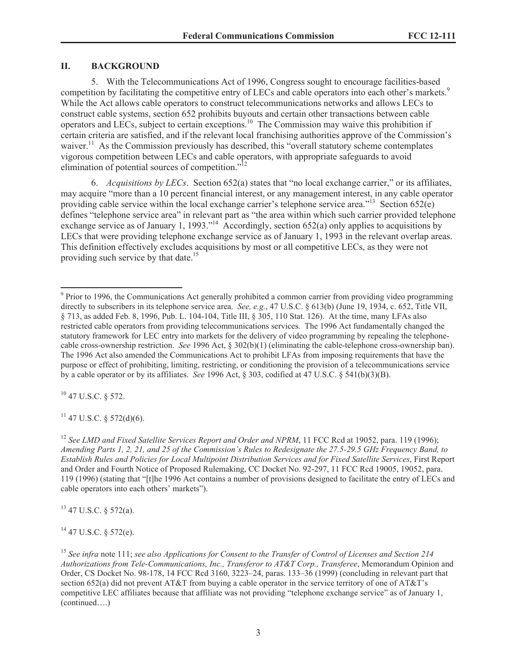#### **II. BACKGROUND**

5. With the Telecommunications Act of 1996, Congress sought to encourage facilities-based competition by facilitating the competitive entry of LECs and cable operators into each other's markets.<sup>9</sup> While the Act allows cable operators to construct telecommunications networks and allows LECs to construct cable systems, section 652 prohibits buyouts and certain other transactions between cable operators and LECs, subject to certain exceptions.<sup>10</sup> The Commission may waive this prohibition if certain criteria are satisfied, and if the relevant local franchising authorities approve of the Commission's waiver.<sup>11</sup> As the Commission previously has described, this "overall statutory scheme contemplates" vigorous competition between LECs and cable operators, with appropriate safeguards to avoid elimination of potential sources of competition. $1^{12}$ 

6. *Acquisitions by LECs*. Section 652(a) states that "no local exchange carrier," or its affiliates, may acquire "more than a 10 percent financial interest, or any management interest, in any cable operator providing cable service within the local exchange carrier's telephone service area."<sup>13</sup> Section 652(e) defines "telephone service area" in relevant part as "the area within which such carrier provided telephone exchange service as of January 1, 1993."<sup>14</sup> Accordingly, section 652(a) only applies to acquisitions by LECs that were providing telephone exchange service as of January 1, 1993 in the relevant overlap areas. This definition effectively excludes acquisitions by most or all competitive LECs, as they were not providing such service by that date.<sup>15</sup>

 $10$  47 U.S.C. § 572.

 $11$  47 U.S.C. § 572(d)(6).

<sup>12</sup> See LMD and Fixed Satellite Services Report and Order and NPRM, 11 FCC Rcd at 19052, para. 119 (1996); *Amending Parts 1, 2, 21, and 25 of the Commission's Rules to Redesignate the 27.5-29.5 GHz Frequency Band, to Establish Rules and Policies for Local Multipoint Distribution Services and for Fixed Satellite Services*, First Report and Order and Fourth Notice of Proposed Rulemaking, CC Docket No. 92-297, 11 FCC Rcd 19005, 19052, para. 119 (1996) (stating that "[t]he 1996 Act contains a number of provisions designed to facilitate the entry of LECs and cable operators into each others' markets").

 $13$  47 U.S.C. § 572(a).

 $14$  47 U.S.C. § 572(e).

<sup>&</sup>lt;sup>9</sup> Prior to 1996, the Communications Act generally prohibited a common carrier from providing video programming directly to subscribers in its telephone service area. *See, e.g.*, 47 U.S.C. § 613(b) (June 19, 1934, c. 652, Title VII, § 713, as added Feb. 8, 1996, Pub. L. 104-104, Title III, § 305, 110 Stat. 126). At the time, many LFAs also restricted cable operators from providing telecommunications services. The 1996 Act fundamentally changed the statutory framework for LEC entry into markets for the delivery of video programming by repealing the telephonecable cross-ownership restriction. *See* 1996 Act, § 302(b)(1) (eliminating the cable-telephone cross-ownership ban). The 1996 Act also amended the Communications Act to prohibit LFAs from imposing requirements that have the purpose or effect of prohibiting, limiting, restricting, or conditioning the provision of a telecommunications service by a cable operator or by its affiliates. *See* 1996 Act, § 303, codified at 47 U.S.C. § 541(b)(3)(B).

<sup>15</sup> *See infra* note 111; *see also Applications for Consent to the Transfer of Control of Licenses and Section 214 Authorizations from Tele-Communications, Inc., Transferor to AT&T Corp., Transferee*, Memorandum Opinion and Order, CS Docket No. 98-178, 14 FCC Rcd 3160, 3223–24, paras. 133–36 (1999) (concluding in relevant part that section 652(a) did not prevent AT&T from buying a cable operator in the service territory of one of AT&T's competitive LEC affiliates because that affiliate was not providing "telephone exchange service" as of January 1, (continued….)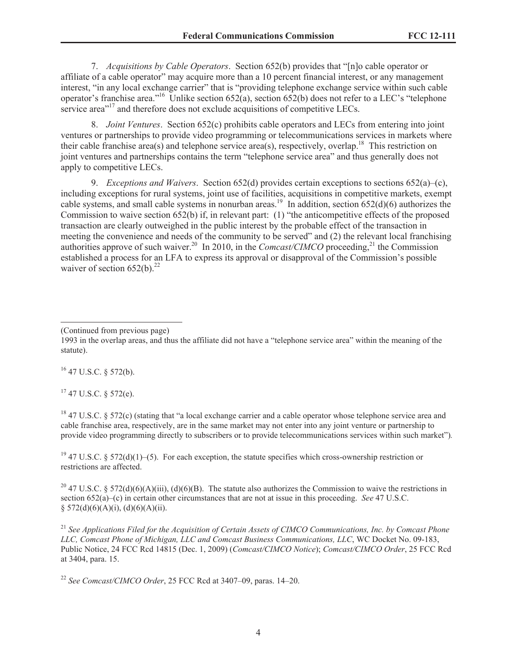7. *Acquisitions by Cable Operators*. Section 652(b) provides that "[n]o cable operator or affiliate of a cable operator" may acquire more than a 10 percent financial interest, or any management interest, "in any local exchange carrier" that is "providing telephone exchange service within such cable operator's franchise area."<sup>16</sup> Unlike section  $652(a)$ , section  $652(b)$  does not refer to a LEC's "telephone" service area<sup>"17</sup> and therefore does not exclude acquisitions of competitive LECs.

8. *Joint Ventures*. Section 652(c) prohibits cable operators and LECs from entering into joint ventures or partnerships to provide video programming or telecommunications services in markets where their cable franchise area(s) and telephone service area(s), respectively, overlap.<sup>18</sup> This restriction on joint ventures and partnerships contains the term "telephone service area" and thus generally does not apply to competitive LECs.

9. *Exceptions and Waivers*. Section 652(d) provides certain exceptions to sections 652(a)–(c), including exceptions for rural systems, joint use of facilities, acquisitions in competitive markets, exempt cable systems, and small cable systems in nonurban areas.<sup>19</sup> In addition, section  $652(d)(6)$  authorizes the Commission to waive section 652(b) if, in relevant part: (1) "the anticompetitive effects of the proposed transaction are clearly outweighed in the public interest by the probable effect of the transaction in meeting the convenience and needs of the community to be served" and (2) the relevant local franchising authorities approve of such waiver.<sup>20</sup> In 2010, in the *Comcast/CIMCO* proceeding,<sup>21</sup> the Commission established a process for an LFA to express its approval or disapproval of the Commission's possible waiver of section  $652(b)$ <sup>22</sup>

 $16$  47 U.S.C. § 572(b).

 $17$  47 U.S.C. § 572(e).

<sup>18</sup> 47 U.S.C. § 572(c) (stating that "a local exchange carrier and a cable operator whose telephone service area and cable franchise area, respectively, are in the same market may not enter into any joint venture or partnership to provide video programming directly to subscribers or to provide telecommunications services within such market")*.*

<sup>19</sup> 47 U.S.C. § 572(d)(1)–(5). For each exception, the statute specifies which cross-ownership restriction or restrictions are affected.

<sup>20</sup> 47 U.S.C. § 572(d)(6)(A)(iii), (d)(6)(B). The statute also authorizes the Commission to waive the restrictions in section 652(a)–(c) in certain other circumstances that are not at issue in this proceeding. *See* 47 U.S.C.  $§ 572(d)(6)(A)(i), (d)(6)(A)(ii).$ 

<sup>21</sup> *See Applications Filed for the Acquisition of Certain Assets of CIMCO Communications, Inc. by Comcast Phone LLC, Comcast Phone of Michigan, LLC and Comcast Business Communications, LLC*, WC Docket No. 09-183, Public Notice, 24 FCC Rcd 14815 (Dec. 1, 2009) (*Comcast/CIMCO Notice*); *Comcast/CIMCO Order*, 25 FCC Rcd at 3404, para. 15.

<sup>22</sup> *See Comcast/CIMCO Order*, 25 FCC Rcd at 3407–09, paras. 14–20.

<sup>(</sup>Continued from previous page)

<sup>1993</sup> in the overlap areas, and thus the affiliate did not have a "telephone service area" within the meaning of the statute).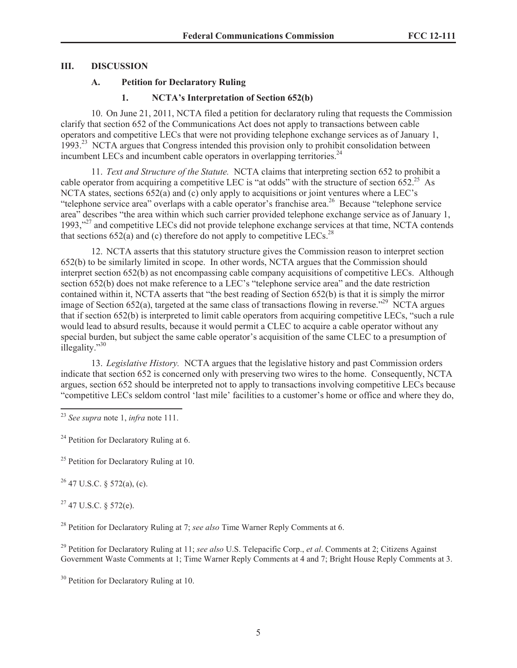# **III. DISCUSSION**

# **A. Petition for Declaratory Ruling**

# **1. NCTA's Interpretation of Section 652(b)**

10. On June 21, 2011, NCTA filed a petition for declaratory ruling that requests the Commission clarify that section 652 of the Communications Act does not apply to transactions between cable operators and competitive LECs that were not providing telephone exchange services as of January 1, 1993.<sup>23</sup> NCTA argues that Congress intended this provision only to prohibit consolidation between incumbent LECs and incumbent cable operators in overlapping territories.<sup>24</sup>

11. *Text and Structure of the Statute.* NCTA claims that interpreting section 652 to prohibit a cable operator from acquiring a competitive LEC is "at odds" with the structure of section  $652<sup>25</sup>$  As NCTA states, sections  $652(a)$  and (c) only apply to acquisitions or joint ventures where a LEC's "telephone service area" overlaps with a cable operator's franchise area.<sup>26</sup> Because "telephone service" area" describes "the area within which such carrier provided telephone exchange service as of January 1, 1993,"<sup>27</sup> and competitive LECs did not provide telephone exchange services at that time, NCTA contends that sections  $652(a)$  and (c) therefore do not apply to competitive LECs.<sup>28</sup>

12. NCTA asserts that this statutory structure gives the Commission reason to interpret section 652(b) to be similarly limited in scope. In other words, NCTA argues that the Commission should interpret section 652(b) as not encompassing cable company acquisitions of competitive LECs. Although section 652(b) does not make reference to a LEC's "telephone service area" and the date restriction contained within it, NCTA asserts that "the best reading of Section 652(b) is that it is simply the mirror image of Section 652(a), targeted at the same class of transactions flowing in reverse."<sup>29</sup> NCTA argues that if section 652(b) is interpreted to limit cable operators from acquiring competitive LECs, "such a rule would lead to absurd results, because it would permit a CLEC to acquire a cable operator without any special burden, but subject the same cable operator's acquisition of the same CLEC to a presumption of illegality."<sup>30</sup>

13. *Legislative History.* NCTA argues that the legislative history and past Commission orders indicate that section 652 is concerned only with preserving two wires to the home. Consequently, NCTA argues, section 652 should be interpreted not to apply to transactions involving competitive LECs because "competitive LECs seldom control 'last mile' facilities to a customer's home or office and where they do,

<sup>24</sup> Petition for Declaratory Ruling at 6.

 $25$  Petition for Declaratory Ruling at 10.

 $26$  47 U.S.C. § 572(a), (c).

 $27$  47 U.S.C. § 572(e).

<sup>28</sup> Petition for Declaratory Ruling at 7; *see also* Time Warner Reply Comments at 6.

<sup>29</sup> Petition for Declaratory Ruling at 11; *see also* U.S. Telepacific Corp., *et al*. Comments at 2; Citizens Against Government Waste Comments at 1; Time Warner Reply Comments at 4 and 7; Bright House Reply Comments at 3.

<sup>23</sup> *See supra* note 1, *infra* note 111.

<sup>&</sup>lt;sup>30</sup> Petition for Declaratory Ruling at 10.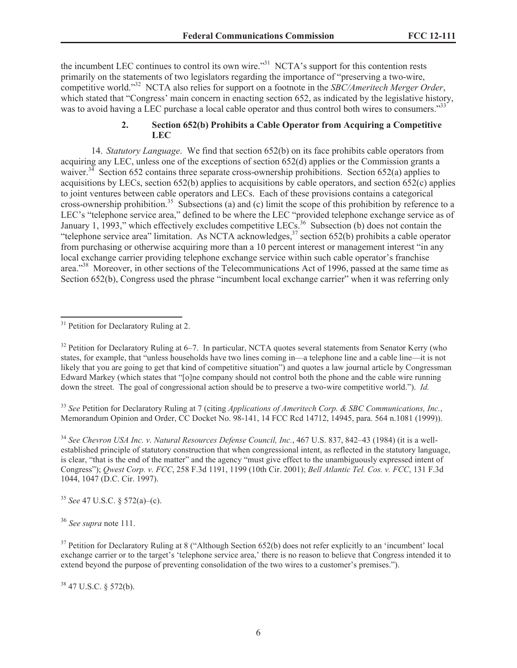the incumbent LEC continues to control its own wire."<sup>31</sup> NCTA's support for this contention rests primarily on the statements of two legislators regarding the importance of "preserving a two-wire, competitive world."<sup>32</sup> NCTA also relies for support on a footnote in the *SBC/Ameritech Merger Order*, which stated that "Congress' main concern in enacting section 652, as indicated by the legislative history, was to avoid having a LEC purchase a local cable operator and thus control both wires to consumers."<sup>33</sup>

# **2. Section 652(b) Prohibits a Cable Operator from Acquiring a Competitive LEC**

14. *Statutory Language*. We find that section 652(b) on its face prohibits cable operators from acquiring any LEC, unless one of the exceptions of section 652(d) applies or the Commission grants a waiver.<sup>34</sup> Section 652 contains three separate cross-ownership prohibitions. Section 652(a) applies to acquisitions by LECs, section 652(b) applies to acquisitions by cable operators, and section 652(c) applies to joint ventures between cable operators and LECs. Each of these provisions contains a categorical cross-ownership prohibition.<sup>35</sup> Subsections (a) and (c) limit the scope of this prohibition by reference to a LEC's "telephone service area," defined to be where the LEC "provided telephone exchange service as of January 1, 1993," which effectively excludes competitive LECs.<sup>36</sup> Subsection (b) does not contain the "telephone service area" limitation. As NCTA acknowledges, $37$  section 652(b) prohibits a cable operator from purchasing or otherwise acquiring more than a 10 percent interest or management interest "in any local exchange carrier providing telephone exchange service within such cable operator's franchise area."<sup>38</sup> Moreover, in other sections of the Telecommunications Act of 1996, passed at the same time as Section 652(b), Congress used the phrase "incumbent local exchange carrier" when it was referring only

<sup>33</sup> *See* Petition for Declaratory Ruling at 7 (citing *Applications of Ameritech Corp. & SBC Communications, Inc.*, Memorandum Opinion and Order, CC Docket No. 98-141, 14 FCC Rcd 14712, 14945, para. 564 n.1081 (1999)).

<sup>34</sup> *See Chevron USA Inc. v. Natural Resources Defense Council, Inc.*, 467 U.S. 837, 842–43 (1984) (it is a wellestablished principle of statutory construction that when congressional intent, as reflected in the statutory language, is clear, "that is the end of the matter" and the agency "must give effect to the unambiguously expressed intent of Congress"); *Qwest Corp. v. FCC*, 258 F.3d 1191, 1199 (10th Cir. 2001); *Bell Atlantic Tel. Cos. v. FCC*, 131 F.3d 1044, 1047 (D.C. Cir. 1997).

<sup>35</sup> *See* 47 U.S.C. § 572(a)–(c).

<sup>36</sup> *See supra* note 111.

<sup>38</sup> 47 U.S.C. § 572(b).

 $31$  Petition for Declaratory Ruling at 2.

<sup>&</sup>lt;sup>32</sup> Petition for Declaratory Ruling at 6–7. In particular, NCTA quotes several statements from Senator Kerry (who states, for example, that "unless households have two lines coming in—a telephone line and a cable line—it is not likely that you are going to get that kind of competitive situation") and quotes a law journal article by Congressman Edward Markey (which states that "[o]ne company should not control both the phone and the cable wire running down the street. The goal of congressional action should be to preserve a two-wire competitive world."). *Id.*

 $37$  Petition for Declaratory Ruling at 8 ("Although Section 652(b) does not refer explicitly to an 'incumbent' local exchange carrier or to the target's 'telephone service area,' there is no reason to believe that Congress intended it to extend beyond the purpose of preventing consolidation of the two wires to a customer's premises.").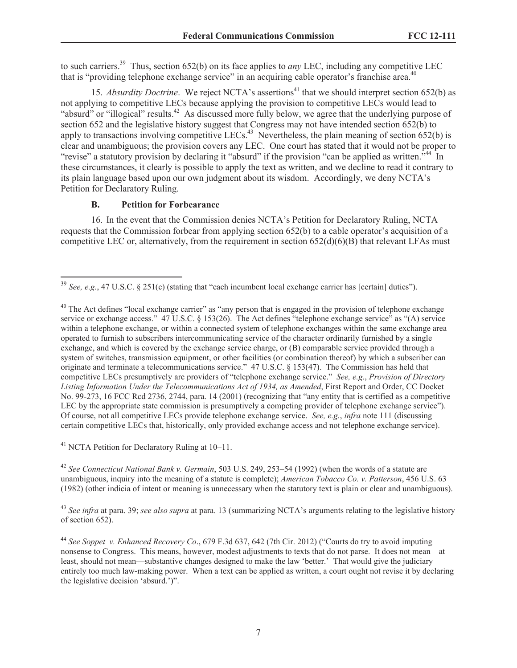to such carriers.<sup>39</sup> Thus, section 652(b) on its face applies to *any* LEC, including any competitive LEC that is "providing telephone exchange service" in an acquiring cable operator's franchise area.<sup>40</sup>

15. *Absurdity Doctrine*. We reject NCTA's assertions<sup>41</sup> that we should interpret section 652(b) as not applying to competitive LECs because applying the provision to competitive LECs would lead to "absurd" or "illogical" results.<sup>42</sup> As discussed more fully below, we agree that the underlying purpose of section 652 and the legislative history suggest that Congress may not have intended section 652(b) to apply to transactions involving competitive LECs.<sup>43</sup> Nevertheless, the plain meaning of section  $652(b)$  is clear and unambiguous; the provision covers any LEC. One court has stated that it would not be proper to "revise" a statutory provision by declaring it "absurd" if the provision "can be applied as written.<sup>544</sup> In these circumstances, it clearly is possible to apply the text as written, and we decline to read it contrary to its plain language based upon our own judgment about its wisdom. Accordingly, we deny NCTA's Petition for Declaratory Ruling.

### **B. Petition for Forbearance**

16. In the event that the Commission denies NCTA's Petition for Declaratory Ruling, NCTA requests that the Commission forbear from applying section 652(b) to a cable operator's acquisition of a competitive LEC or, alternatively, from the requirement in section 652(d)(6)(B) that relevant LFAs must

<sup>41</sup> NCTA Petition for Declaratory Ruling at 10–11.

<sup>42</sup> *See Connecticut National Bank v. Germain*, 503 U.S. 249, 253–54 (1992) (when the words of a statute are unambiguous, inquiry into the meaning of a statute is complete); *American Tobacco Co. v. Patterson*, 456 U.S. 63 (1982) (other indicia of intent or meaning is unnecessary when the statutory text is plain or clear and unambiguous).

<sup>43</sup> *See infra* at para. 39; *see also supra* at para. 13 (summarizing NCTA's arguments relating to the legislative history of section 652).

<sup>39</sup> *See, e.g.*, 47 U.S.C. § 251(c) (stating that "each incumbent local exchange carrier has [certain] duties").

 $40$  The Act defines "local exchange carrier" as "any person that is engaged in the provision of telephone exchange service or exchange access." 47 U.S.C. § 153(26). The Act defines "telephone exchange service" as "(A) service within a telephone exchange, or within a connected system of telephone exchanges within the same exchange area operated to furnish to subscribers intercommunicating service of the character ordinarily furnished by a single exchange, and which is covered by the exchange service charge, or (B) comparable service provided through a system of switches, transmission equipment, or other facilities (or combination thereof) by which a subscriber can originate and terminate a telecommunications service." 47 U.S.C. § 153(47). The Commission has held that competitive LECs presumptively are providers of "telephone exchange service." *See, e.g.*, *Provision of Directory Listing Information Under the Telecommunications Act of 1934, as Amended*, First Report and Order, CC Docket No. 99-273, 16 FCC Rcd 2736, 2744, para. 14 (2001) (recognizing that "any entity that is certified as a competitive LEC by the appropriate state commission is presumptively a competing provider of telephone exchange service"). Of course, not all competitive LECs provide telephone exchange service. *See, e.g.*, *infra* note 111 (discussing certain competitive LECs that, historically, only provided exchange access and not telephone exchange service).

<sup>44</sup> *See Soppet v. Enhanced Recovery Co*., 679 F.3d 637, 642 (7th Cir. 2012) ("Courts do try to avoid imputing nonsense to Congress. This means, however, modest adjustments to texts that do not parse. It does not mean—at least, should not mean—substantive changes designed to make the law 'better.' That would give the judiciary entirely too much law-making power. When a text can be applied as written, a court ought not revise it by declaring the legislative decision 'absurd.')".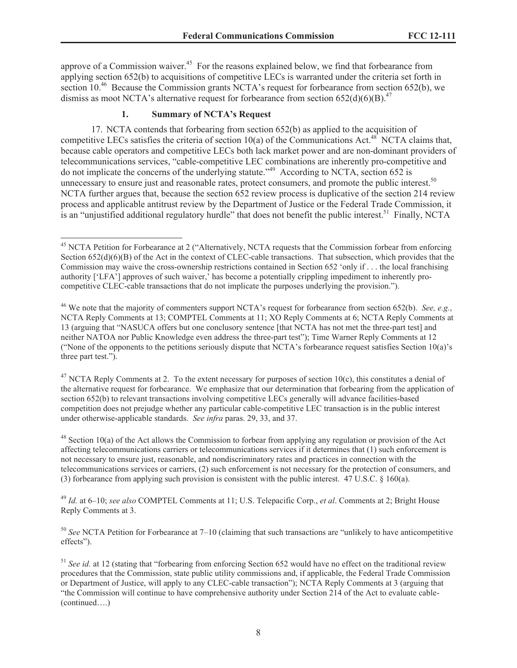approve of a Commission waiver.<sup>45</sup> For the reasons explained below, we find that forbearance from applying section 652(b) to acquisitions of competitive LECs is warranted under the criteria set forth in section 10<sup>.46</sup> Because the Commission grants NCTA's request for forbearance from section 652(b), we dismiss as moot NCTA's alternative request for forbearance from section  $652(d)(6)(B)^{47}$ .

### **1. Summary of NCTA's Request**

17. NCTA contends that forbearing from section 652(b) as applied to the acquisition of competitive LECs satisfies the criteria of section  $10(a)$  of the Communications Act.<sup>48</sup> NCTA claims that, because cable operators and competitive LECs both lack market power and are non-dominant providers of telecommunications services, "cable-competitive LEC combinations are inherently pro-competitive and do not implicate the concerns of the underlying statute."<sup>49</sup> According to NCTA, section 652 is unnecessary to ensure just and reasonable rates, protect consumers, and promote the public interest.<sup>50</sup> NCTA further argues that, because the section 652 review process is duplicative of the section 214 review process and applicable antitrust review by the Department of Justice or the Federal Trade Commission, it is an "unjustified additional regulatory hurdle" that does not benefit the public interest.<sup>51</sup> Finally, NCTA

<sup>47</sup> NCTA Reply Comments at 2. To the extent necessary for purposes of section  $10(c)$ , this constitutes a denial of the alternative request for forbearance. We emphasize that our determination that forbearing from the application of section 652(b) to relevant transactions involving competitive LECs generally will advance facilities-based competition does not prejudge whether any particular cable-competitive LEC transaction is in the public interest under otherwise-applicable standards. *See infra* paras. 29, 33, and 37.

<sup>48</sup> Section 10(a) of the Act allows the Commission to forbear from applying any regulation or provision of the Act affecting telecommunications carriers or telecommunications services if it determines that (1) such enforcement is not necessary to ensure just, reasonable, and nondiscriminatory rates and practices in connection with the telecommunications services or carriers, (2) such enforcement is not necessary for the protection of consumers, and (3) forbearance from applying such provision is consistent with the public interest. 47 U.S.C. § 160(a).

<sup>49</sup> *Id.* at 6–10; *see also* COMPTEL Comments at 11; U.S. Telepacific Corp., *et al*. Comments at 2; Bright House Reply Comments at 3.

<sup>50</sup> *See* NCTA Petition for Forbearance at 7–10 (claiming that such transactions are "unlikely to have anticompetitive effects").

<sup>&</sup>lt;sup>45</sup> NCTA Petition for Forbearance at 2 ("Alternatively, NCTA requests that the Commission forbear from enforcing Section  $652(d)(6)(B)$  of the Act in the context of CLEC-cable transactions. That subsection, which provides that the Commission may waive the cross-ownership restrictions contained in Section 652 'only if . . . the local franchising authority ['LFA'] approves of such waiver,' has become a potentially crippling impediment to inherently procompetitive CLEC-cable transactions that do not implicate the purposes underlying the provision.").

<sup>46</sup> We note that the majority of commenters support NCTA's request for forbearance from section 652(b). *See, e.g.*, NCTA Reply Comments at 13; COMPTEL Comments at 11; XO Reply Comments at 6; NCTA Reply Comments at 13 (arguing that "NASUCA offers but one conclusory sentence [that NCTA has not met the three-part test] and neither NATOA nor Public Knowledge even address the three-part test"); Time Warner Reply Comments at 12 ("None of the opponents to the petitions seriously dispute that NCTA's forbearance request satisfies Section 10(a)'s three part test.").

<sup>&</sup>lt;sup>51</sup> See id. at 12 (stating that "forbearing from enforcing Section 652 would have no effect on the traditional review procedures that the Commission, state public utility commissions and, if applicable, the Federal Trade Commission or Department of Justice, will apply to any CLEC-cable transaction"); NCTA Reply Comments at 3 (arguing that "the Commission will continue to have comprehensive authority under Section 214 of the Act to evaluate cable- (continued….)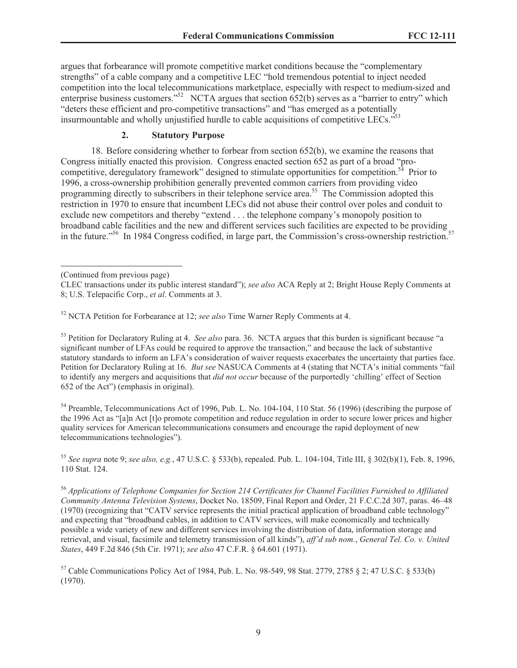argues that forbearance will promote competitive market conditions because the "complementary strengths" of a cable company and a competitive LEC "hold tremendous potential to inject needed competition into the local telecommunications marketplace, especially with respect to medium-sized and enterprise business customers."<sup>52</sup> NCTA argues that section  $652(b)$  serves as a "barrier to entry" which "deters these efficient and pro-competitive transactions" and "has emerged as a potentially insurmountable and wholly unjustified hurdle to cable acquisitions of competitive LECs."<sup>53</sup>

# **2. Statutory Purpose**

18. Before considering whether to forbear from section 652(b), we examine the reasons that Congress initially enacted this provision. Congress enacted section 652 as part of a broad "procompetitive, deregulatory framework" designed to stimulate opportunities for competition.<sup>54</sup> Prior to 1996, a cross-ownership prohibition generally prevented common carriers from providing video programming directly to subscribers in their telephone service area.<sup>55</sup> The Commission adopted this restriction in 1970 to ensure that incumbent LECs did not abuse their control over poles and conduit to exclude new competitors and thereby "extend . . . the telephone company's monopoly position to broadband cable facilities and the new and different services such facilities are expected to be providing in the future."<sup>56</sup> In 1984 Congress codified, in large part, the Commission's cross-ownership restriction.<sup>57</sup>

<sup>52</sup> NCTA Petition for Forbearance at 12; *see also* Time Warner Reply Comments at 4.

<sup>53</sup> Petition for Declaratory Ruling at 4. *See also* para. 36. NCTA argues that this burden is significant because "a significant number of LFAs could be required to approve the transaction," and because the lack of substantive statutory standards to inform an LFA's consideration of waiver requests exacerbates the uncertainty that parties face. Petition for Declaratory Ruling at 16. *But see* NASUCA Comments at 4 (stating that NCTA's initial comments "fail to identify any mergers and acquisitions that *did not occur* because of the purportedly 'chilling' effect of Section 652 of the Act") (emphasis in original).

<sup>54</sup> Preamble, Telecommunications Act of 1996, Pub. L. No. 104-104, 110 Stat. 56 (1996) (describing the purpose of the 1996 Act as "[a]n Act [t]o promote competition and reduce regulation in order to secure lower prices and higher quality services for American telecommunications consumers and encourage the rapid deployment of new telecommunications technologies").

<sup>55</sup> *See supra* note 9; *see also, e.g.*, 47 U.S.C. § 533(b), repealed. Pub. L. 104-104, Title III, § 302(b)(1), Feb. 8, 1996, 110 Stat. 124.

<sup>56</sup> *Applications of Telephone Companies for Section 214 Certificates for Channel Facilities Furnished to Affiliated Community Antenna Television Systems*, Docket No. 18509, Final Report and Order, 21 F.C.C.2d 307, paras. 46–48 (1970) (recognizing that "CATV service represents the initial practical application of broadband cable technology" and expecting that "broadband cables, in addition to CATV services, will make economically and technically possible a wide variety of new and different services involving the distribution of data, information storage and retrieval, and visual, facsimile and telemetry transmission of all kinds"), *aff'd sub nom.*, *General Tel. Co. v. United States*, 449 F.2d 846 (5th Cir. 1971); *see also* 47 C.F.R. § 64.601 (1971).

<sup>57</sup> Cable Communications Policy Act of 1984, Pub. L. No. 98-549, 98 Stat. 2779, 2785 § 2; 47 U.S.C. § 533(b) (1970).

<sup>(</sup>Continued from previous page)

CLEC transactions under its public interest standard"); *see also* ACA Reply at 2; Bright House Reply Comments at 8; U.S. Telepacific Corp., *et al*. Comments at 3.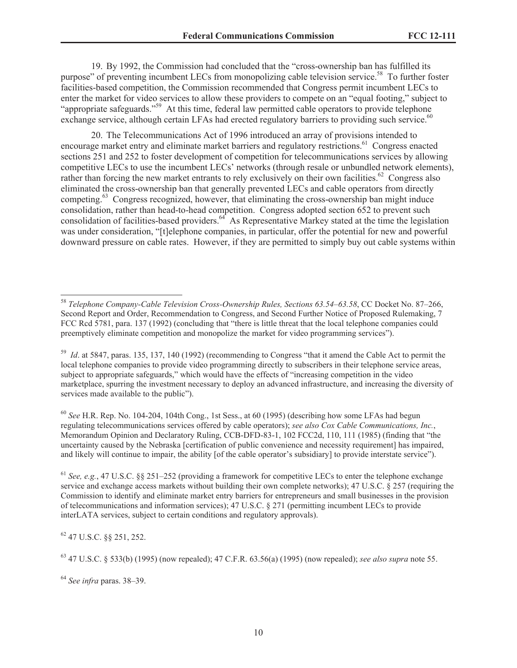19. By 1992, the Commission had concluded that the "cross-ownership ban has fulfilled its purpose" of preventing incumbent LECs from monopolizing cable television service.<sup>58</sup> To further foster facilities-based competition, the Commission recommended that Congress permit incumbent LECs to enter the market for video services to allow these providers to compete on an "equal footing," subject to "appropriate safeguards."<sup>59</sup> At this time, federal law permitted cable operators to provide telephone exchange service, although certain LFAs had erected regulatory barriers to providing such service.<sup>60</sup>

20. The Telecommunications Act of 1996 introduced an array of provisions intended to encourage market entry and eliminate market barriers and regulatory restrictions.<sup>61</sup> Congress enacted sections 251 and 252 to foster development of competition for telecommunications services by allowing competitive LECs to use the incumbent LECs' networks (through resale or unbundled network elements), rather than forcing the new market entrants to rely exclusively on their own facilities.<sup>62</sup> Congress also eliminated the cross-ownership ban that generally prevented LECs and cable operators from directly competing.<sup>63</sup> Congress recognized, however, that eliminating the cross-ownership ban might induce consolidation, rather than head-to-head competition. Congress adopted section 652 to prevent such consolidation of facilities-based providers.<sup>64</sup> As Representative Markey stated at the time the legislation was under consideration, "[t]elephone companies, in particular, offer the potential for new and powerful downward pressure on cable rates. However, if they are permitted to simply buy out cable systems within

<sup>60</sup> *See* H.R. Rep. No. 104-204, 104th Cong., 1st Sess., at 60 (1995) (describing how some LFAs had begun regulating telecommunications services offered by cable operators); *see also Cox Cable Communications, Inc.*, Memorandum Opinion and Declaratory Ruling, CCB-DFD-83-1, 102 FCC2d, 110, 111 (1985) (finding that "the uncertainty caused by the Nebraska [certification of public convenience and necessity requirement] has impaired, and likely will continue to impair, the ability [of the cable operator's subsidiary] to provide interstate service").

<sup>61</sup> *See, e.g.*, 47 U.S.C. §§ 251–252 (providing a framework for competitive LECs to enter the telephone exchange service and exchange access markets without building their own complete networks); 47 U.S.C. § 257 (requiring the Commission to identify and eliminate market entry barriers for entrepreneurs and small businesses in the provision of telecommunications and information services); 47 U.S.C. § 271 (permitting incumbent LECs to provide interLATA services, subject to certain conditions and regulatory approvals).

<sup>62</sup> 47 U.S.C. §§ 251, 252.

<sup>64</sup> *See infra* paras. 38–39.

<sup>58</sup> *Telephone Company-Cable Television Cross-Ownership Rules, Sections 63.54–63.58*, CC Docket No. 87–266, Second Report and Order, Recommendation to Congress, and Second Further Notice of Proposed Rulemaking, 7 FCC Rcd 5781, para. 137 (1992) (concluding that "there is little threat that the local telephone companies could preemptively eliminate competition and monopolize the market for video programming services").

<sup>&</sup>lt;sup>59</sup> *Id.* at 5847, paras. 135, 137, 140 (1992) (recommending to Congress "that it amend the Cable Act to permit the local telephone companies to provide video programming directly to subscribers in their telephone service areas, subject to appropriate safeguards," which would have the effects of "increasing competition in the video marketplace, spurring the investment necessary to deploy an advanced infrastructure, and increasing the diversity of services made available to the public").

<sup>63</sup> 47 U.S.C. § 533(b) (1995) (now repealed); 47 C.F.R. 63.56(a) (1995) (now repealed); *see also supra* note 55.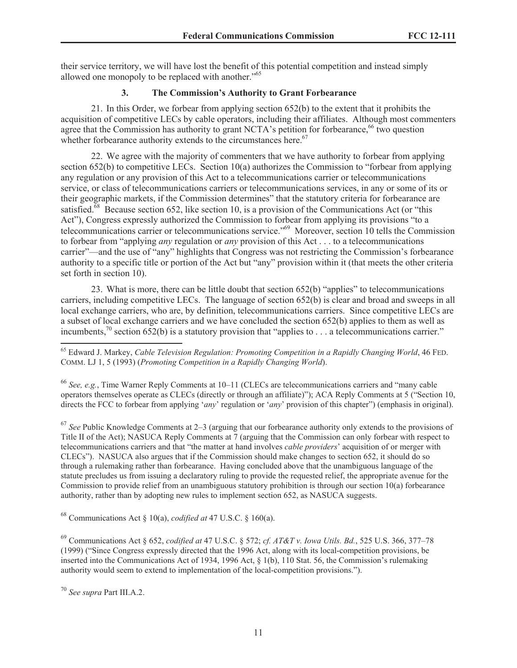their service territory, we will have lost the benefit of this potential competition and instead simply allowed one monopoly to be replaced with another."<sup>65</sup>

# **3. The Commission's Authority to Grant Forbearance**

21. In this Order, we forbear from applying section 652(b) to the extent that it prohibits the acquisition of competitive LECs by cable operators, including their affiliates. Although most commenters agree that the Commission has authority to grant NCTA's petition for forbearance,<sup>66</sup> two question whether forbearance authority extends to the circumstances here.<sup>67</sup>

22. We agree with the majority of commenters that we have authority to forbear from applying section 652(b) to competitive LECs. Section 10(a) authorizes the Commission to "forbear from applying any regulation or any provision of this Act to a telecommunications carrier or telecommunications service, or class of telecommunications carriers or telecommunications services, in any or some of its or their geographic markets, if the Commission determines" that the statutory criteria for forbearance are satisfied.<sup>68</sup> Because section 652, like section 10, is a provision of the Communications Act (or "this Act"), Congress expressly authorized the Commission to forbear from applying its provisions "to a telecommunications carrier or telecommunications service."<sup>69</sup> Moreover, section 10 tells the Commission to forbear from "applying *any* regulation or *any* provision of this Act . . . to a telecommunications carrier"—and the use of "any" highlights that Congress was not restricting the Commission's forbearance authority to a specific title or portion of the Act but "any" provision within it (that meets the other criteria set forth in section 10).

23. What is more, there can be little doubt that section 652(b) "applies" to telecommunications carriers, including competitive LECs. The language of section 652(b) is clear and broad and sweeps in all local exchange carriers, who are, by definition, telecommunications carriers. Since competitive LECs are a subset of local exchange carriers and we have concluded the section 652(b) applies to them as well as incumbents,<sup>70</sup> section 652(b) is a statutory provision that "applies to  $\ldots$  a telecommunications carrier."

<sup>66</sup> *See, e.g.*, Time Warner Reply Comments at 10–11 (CLECs are telecommunications carriers and "many cable operators themselves operate as CLECs (directly or through an affiliate)"); ACA Reply Comments at 5 ("Section 10, directs the FCC to forbear from applying '*any*' regulation or '*any*' provision of this chapter") (emphasis in original).

<sup>67</sup> *See* Public Knowledge Comments at 2–3 (arguing that our forbearance authority only extends to the provisions of Title II of the Act); NASUCA Reply Comments at 7 (arguing that the Commission can only forbear with respect to telecommunications carriers and that "the matter at hand involves *cable providers*' acquisition of or merger with CLECs"). NASUCA also argues that if the Commission should make changes to section 652, it should do so through a rulemaking rather than forbearance. Having concluded above that the unambiguous language of the statute precludes us from issuing a declaratory ruling to provide the requested relief, the appropriate avenue for the Commission to provide relief from an unambiguous statutory prohibition is through our section 10(a) forbearance authority, rather than by adopting new rules to implement section 652, as NASUCA suggests.

<sup>68</sup> Communications Act § 10(a), *codified at* 47 U.S.C. § 160(a).

<sup>69</sup> Communications Act § 652, *codified at* 47 U.S.C. § 572; *cf. AT&T v. Iowa Utils. Bd.*, 525 U.S. 366, 377–78 (1999) ("Since Congress expressly directed that the 1996 Act, along with its local-competition provisions, be inserted into the Communications Act of 1934, 1996 Act, § 1(b), 110 Stat. 56, the Commission's rulemaking authority would seem to extend to implementation of the local-competition provisions.").

<sup>70</sup> *See supra* Part III.A.2.

<sup>65</sup> Edward J. Markey, *Cable Television Regulation: Promoting Competition in a Rapidly Changing World*, 46 FED. COMM. LJ 1, 5 (1993) (*Promoting Competition in a Rapidly Changing World*).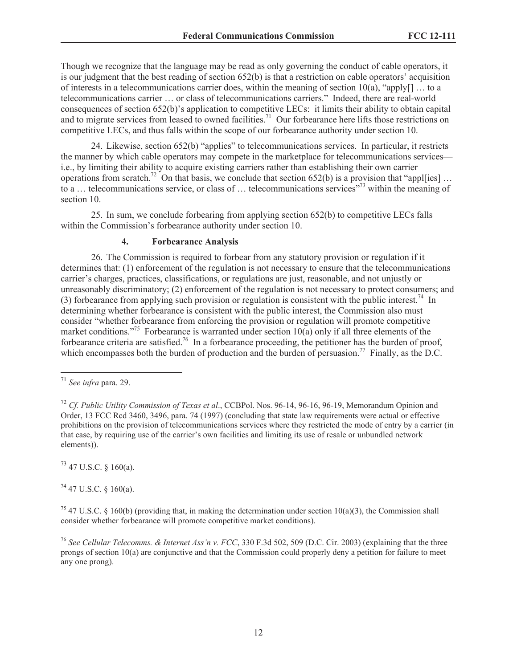Though we recognize that the language may be read as only governing the conduct of cable operators, it is our judgment that the best reading of section 652(b) is that a restriction on cable operators' acquisition of interests in a telecommunications carrier does, within the meaning of section  $10(a)$ , "apply[] ... to a telecommunications carrier … or class of telecommunications carriers." Indeed, there are real-world consequences of section 652(b)'s application to competitive LECs: it limits their ability to obtain capital and to migrate services from leased to owned facilities.<sup>71</sup> Our forbearance here lifts those restrictions on competitive LECs, and thus falls within the scope of our forbearance authority under section 10.

24. Likewise, section 652(b) "applies" to telecommunications services. In particular, it restricts the manner by which cable operators may compete in the marketplace for telecommunications services i.e., by limiting their ability to acquire existing carriers rather than establishing their own carrier operations from scratch.<sup>72</sup> On that basis, we conclude that section 652(b) is a provision that "appl[ies] ... to a … telecommunications service, or class of … telecommunications services"<sup>73</sup> within the meaning of section 10.

25. In sum, we conclude forbearing from applying section 652(b) to competitive LECs falls within the Commission's forbearance authority under section 10.

### **4. Forbearance Analysis**

26. The Commission is required to forbear from any statutory provision or regulation if it determines that: (1) enforcement of the regulation is not necessary to ensure that the telecommunications carrier's charges, practices, classifications, or regulations are just, reasonable, and not unjustly or unreasonably discriminatory; (2) enforcement of the regulation is not necessary to protect consumers; and (3) forbearance from applying such provision or regulation is consistent with the public interest.<sup>74</sup> In determining whether forbearance is consistent with the public interest, the Commission also must consider "whether forbearance from enforcing the provision or regulation will promote competitive market conditions."<sup>75</sup> Forbearance is warranted under section  $10(a)$  only if all three elements of the forbearance criteria are satisfied.<sup>76</sup> In a forbearance proceeding, the petitioner has the burden of proof, which encompasses both the burden of production and the burden of persuasion.<sup>77</sup> Finally, as the D.C.

 $^{73}$  47 U.S.C. § 160(a).

 $74$  47 U.S.C. § 160(a).

<sup>75</sup> 47 U.S.C. § 160(b) (providing that, in making the determination under section 10(a)(3), the Commission shall consider whether forbearance will promote competitive market conditions).

<sup>71</sup> *See infra* para. 29.

<sup>72</sup> *Cf. Public Utility Commission of Texas et al*., CCBPol. Nos. 96-14, 96-16, 96-19, Memorandum Opinion and Order, 13 FCC Rcd 3460, 3496, para. 74 (1997) (concluding that state law requirements were actual or effective prohibitions on the provision of telecommunications services where they restricted the mode of entry by a carrier (in that case, by requiring use of the carrier's own facilities and limiting its use of resale or unbundled network elements)).

<sup>76</sup> *See Cellular Telecomms. & Internet Ass'n v. FCC*, 330 F.3d 502, 509 (D.C. Cir. 2003) (explaining that the three prongs of section 10(a) are conjunctive and that the Commission could properly deny a petition for failure to meet any one prong).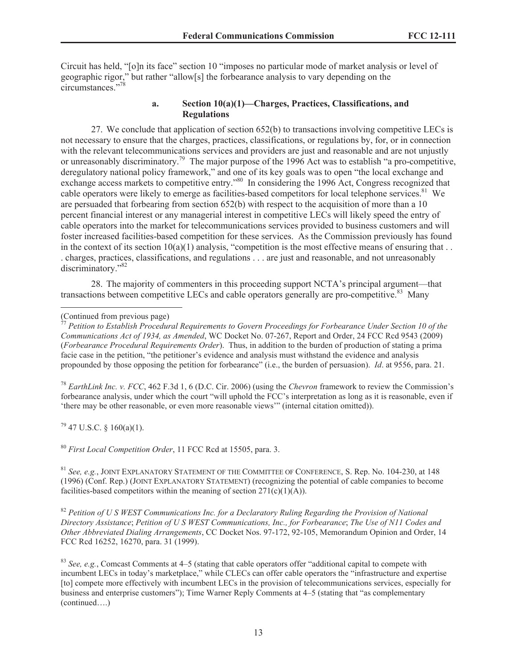Circuit has held, "[o]n its face" section 10 "imposes no particular mode of market analysis or level of geographic rigor," but rather "allow[s] the forbearance analysis to vary depending on the circumstances<sup>"78</sup>

### **a. Section 10(a)(1)—Charges, Practices, Classifications, and Regulations**

27. We conclude that application of section 652(b) to transactions involving competitive LECs is not necessary to ensure that the charges, practices, classifications, or regulations by, for, or in connection with the relevant telecommunications services and providers are just and reasonable and are not unjustly or unreasonably discriminatory.<sup>79</sup> The major purpose of the 1996 Act was to establish "a pro-competitive, deregulatory national policy framework," and one of its key goals was to open "the local exchange and exchange access markets to competitive entry.<sup>780</sup> In considering the 1996 Act, Congress recognized that cable operators were likely to emerge as facilities-based competitors for local telephone services.<sup>81</sup> We are persuaded that forbearing from section 652(b) with respect to the acquisition of more than a 10 percent financial interest or any managerial interest in competitive LECs will likely speed the entry of cable operators into the market for telecommunications services provided to business customers and will foster increased facilities-based competition for these services. As the Commission previously has found in the context of its section  $10(a)(1)$  analysis, "competition is the most effective means of ensuring that ... . charges, practices, classifications, and regulations . . . are just and reasonable, and not unreasonably discriminatory."<sup>82</sup>

28. The majority of commenters in this proceeding support NCTA's principal argument—that transactions between competitive LECs and cable operators generally are pro-competitive.<sup>83</sup> Many

<sup>78</sup> *EarthLink Inc. v. FCC*, 462 F.3d 1, 6 (D.C. Cir. 2006) (using the *Chevron* framework to review the Commission's forbearance analysis, under which the court "will uphold the FCC's interpretation as long as it is reasonable, even if 'there may be other reasonable, or even more reasonable views'" (internal citation omitted)).

 $79$  47 U.S.C. § 160(a)(1).

<sup>80</sup> *First Local Competition Order*, 11 FCC Rcd at 15505, para. 3.

<sup>81</sup> *See, e.g.*, JOINT EXPLANATORY STATEMENT OF THE COMMITTEE OF CONFERENCE, S. Rep. No. 104-230, at 148 (1996) (Conf. Rep.) (JOINT EXPLANATORY STATEMENT) (recognizing the potential of cable companies to become facilities-based competitors within the meaning of section  $271(c)(1)(A)$ .

<sup>82</sup> *Petition of U S WEST Communications Inc. for a Declaratory Ruling Regarding the Provision of National Directory Assistance*; *Petition of U S WEST Communications, Inc., for Forbearance*; *The Use of N11 Codes and Other Abbreviated Dialing Arrangements*, CC Docket Nos. 97-172, 92-105, Memorandum Opinion and Order, 14 FCC Rcd 16252, 16270, para. 31 (1999).

<sup>83</sup> *See, e.g.*, Comcast Comments at 4–5 (stating that cable operators offer "additional capital to compete with incumbent LECs in today's marketplace," while CLECs can offer cable operators the "infrastructure and expertise [to] compete more effectively with incumbent LECs in the provision of telecommunications services, especially for business and enterprise customers"); Time Warner Reply Comments at 4–5 (stating that "as complementary (continued….)

<sup>(</sup>Continued from previous page)

<sup>77</sup> *Petition to Establish Procedural Requirements to Govern Proceedings for Forbearance Under Section 10 of the Communications Act of 1934, as Amended*, WC Docket No. 07-267, Report and Order, 24 FCC Rcd 9543 (2009) (*Forbearance Procedural Requirements Order*). Thus, in addition to the burden of production of stating a prima facie case in the petition, "the petitioner's evidence and analysis must withstand the evidence and analysis propounded by those opposing the petition for forbearance" (i.e., the burden of persuasion). *Id*. at 9556, para. 21.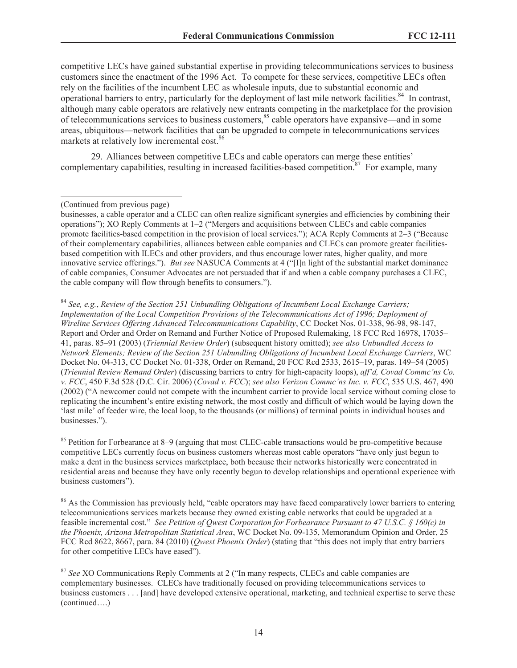competitive LECs have gained substantial expertise in providing telecommunications services to business customers since the enactment of the 1996 Act. To compete for these services, competitive LECs often rely on the facilities of the incumbent LEC as wholesale inputs, due to substantial economic and operational barriers to entry, particularly for the deployment of last mile network facilities.<sup>84</sup> In contrast, although many cable operators are relatively new entrants competing in the marketplace for the provision of telecommunications services to business customers,<sup>85</sup> cable operators have expansive—and in some areas, ubiquitous—network facilities that can be upgraded to compete in telecommunications services markets at relatively low incremental cost.<sup>86</sup>

29. Alliances between competitive LECs and cable operators can merge these entities' complementary capabilities, resulting in increased facilities-based competition.<sup>87</sup> For example, many

<sup>84</sup> *See, e.g.*, *Review of the Section 251 Unbundling Obligations of Incumbent Local Exchange Carriers; Implementation of the Local Competition Provisions of the Telecommunications Act of 1996; Deployment of Wireline Services Offering Advanced Telecommunications Capability*, CC Docket Nos. 01-338, 96-98, 98-147, Report and Order and Order on Remand and Further Notice of Proposed Rulemaking, 18 FCC Rcd 16978, 17035– 41, paras. 85–91 (2003) (*Triennial Review Order*) (subsequent history omitted); *see also Unbundled Access to Network Elements; Review of the Section 251 Unbundling Obligations of Incumbent Local Exchange Carriers*, WC Docket No. 04-313, CC Docket No. 01-338, Order on Remand, 20 FCC Rcd 2533, 2615–19, paras. 149–54 (2005) (*Triennial Review Remand Order*) (discussing barriers to entry for high-capacity loops), *aff'd, Covad Commc'ns Co. v. FCC*, 450 F.3d 528 (D.C. Cir. 2006) (*Covad v. FCC*); *see also Verizon Commc'ns Inc. v. FCC*, 535 U.S. 467, 490 (2002) ("A newcomer could not compete with the incumbent carrier to provide local service without coming close to replicating the incumbent's entire existing network, the most costly and difficult of which would be laying down the 'last mile' of feeder wire, the local loop, to the thousands (or millions) of terminal points in individual houses and businesses.").

<sup>85</sup> Petition for Forbearance at 8–9 (arguing that most CLEC-cable transactions would be pro-competitive because competitive LECs currently focus on business customers whereas most cable operators "have only just begun to make a dent in the business services marketplace, both because their networks historically were concentrated in residential areas and because they have only recently begun to develop relationships and operational experience with business customers").

<sup>86</sup> As the Commission has previously held, "cable operators may have faced comparatively lower barriers to entering telecommunications services markets because they owned existing cable networks that could be upgraded at a feasible incremental cost." *See Petition of Qwest Corporation for Forbearance Pursuant to 47 U.S.C. § 160(c) in the Phoenix, Arizona Metropolitan Statistical Area*, WC Docket No. 09-135, Memorandum Opinion and Order, 25 FCC Rcd 8622, 8667, para. 84 (2010) (*Qwest Phoenix Order*) (stating that "this does not imply that entry barriers for other competitive LECs have eased").

<sup>87</sup> *See* XO Communications Reply Comments at 2 ("In many respects, CLECs and cable companies are complementary businesses. CLECs have traditionally focused on providing telecommunications services to business customers . . . [and] have developed extensive operational, marketing, and technical expertise to serve these (continued….)

<sup>(</sup>Continued from previous page)

businesses, a cable operator and a CLEC can often realize significant synergies and efficiencies by combining their operations"); XO Reply Comments at 1–2 ("Mergers and acquisitions between CLECs and cable companies promote facilities-based competition in the provision of local services."); ACA Reply Comments at 2–3 ("Because of their complementary capabilities, alliances between cable companies and CLECs can promote greater facilitiesbased competition with ILECs and other providers, and thus encourage lower rates, higher quality, and more innovative service offerings."). *But see* NASUCA Comments at 4 ("[I]n light of the substantial market dominance of cable companies, Consumer Advocates are not persuaded that if and when a cable company purchases a CLEC, the cable company will flow through benefits to consumers.").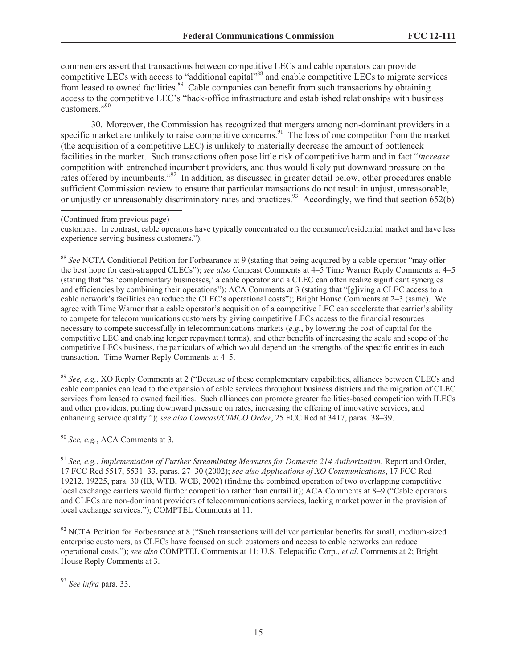commenters assert that transactions between competitive LECs and cable operators can provide competitive LECs with access to "additional capital"<sup>88</sup> and enable competitive LECs to migrate services from leased to owned facilities.<sup>89</sup> Cable companies can benefit from such transactions by obtaining access to the competitive LEC's "back-office infrastructure and established relationships with business customers."<sup>90</sup>

30. Moreover, the Commission has recognized that mergers among non-dominant providers in a specific market are unlikely to raise competitive concerns.<sup>91</sup> The loss of one competitor from the market (the acquisition of a competitive LEC) is unlikely to materially decrease the amount of bottleneck facilities in the market. Such transactions often pose little risk of competitive harm and in fact "*increase* competition with entrenched incumbent providers, and thus would likely put downward pressure on the rates offered by incumbents."<sup>92</sup> In addition, as discussed in greater detail below, other procedures enable sufficient Commission review to ensure that particular transactions do not result in unjust, unreasonable, or unjustly or unreasonably discriminatory rates and practices.<sup>93</sup> Accordingly, we find that section 652(b)

customers. In contrast, cable operators have typically concentrated on the consumer/residential market and have less experience serving business customers.").

<sup>88</sup> *See* NCTA Conditional Petition for Forbearance at 9 (stating that being acquired by a cable operator "may offer the best hope for cash-strapped CLECs"); *see also* Comcast Comments at 4–5 Time Warner Reply Comments at 4–5 (stating that "as 'complementary businesses,' a cable operator and a CLEC can often realize significant synergies and efficiencies by combining their operations"); ACA Comments at 3 (stating that "[g]iving a CLEC access to a cable network's facilities can reduce the CLEC's operational costs"); Bright House Comments at 2–3 (same). We agree with Time Warner that a cable operator's acquisition of a competitive LEC can accelerate that carrier's ability to compete for telecommunications customers by giving competitive LECs access to the financial resources necessary to compete successfully in telecommunications markets (*e.g.*, by lowering the cost of capital for the competitive LEC and enabling longer repayment terms), and other benefits of increasing the scale and scope of the competitive LECs business, the particulars of which would depend on the strengths of the specific entities in each transaction. Time Warner Reply Comments at 4–5.

<sup>89</sup> *See, e.g.*, XO Reply Comments at 2 ("Because of these complementary capabilities, alliances between CLECs and cable companies can lead to the expansion of cable services throughout business districts and the migration of CLEC services from leased to owned facilities. Such alliances can promote greater facilities-based competition with ILECs and other providers, putting downward pressure on rates, increasing the offering of innovative services, and enhancing service quality."); *see also Comcast/CIMCO Order*, 25 FCC Rcd at 3417, paras. 38–39.

<sup>90</sup> *See, e.g.*, ACA Comments at 3.

<sup>91</sup> *See, e.g.*, *Implementation of Further Streamlining Measures for Domestic 214 Authorization*, Report and Order, 17 FCC Rcd 5517, 5531–33, paras. 27–30 (2002); *see also Applications of XO Communications*, 17 FCC Rcd 19212, 19225, para. 30 (IB, WTB, WCB, 2002) (finding the combined operation of two overlapping competitive local exchange carriers would further competition rather than curtail it); ACA Comments at 8–9 ("Cable operators and CLECs are non-dominant providers of telecommunications services, lacking market power in the provision of local exchange services."); COMPTEL Comments at 11.

 $92$  NCTA Petition for Forbearance at 8 ("Such transactions will deliver particular benefits for small, medium-sized enterprise customers, as CLECs have focused on such customers and access to cable networks can reduce operational costs."); *see also* COMPTEL Comments at 11; U.S. Telepacific Corp., *et al*. Comments at 2; Bright House Reply Comments at 3.

<sup>93</sup> *See infra* para. 33.

<sup>(</sup>Continued from previous page)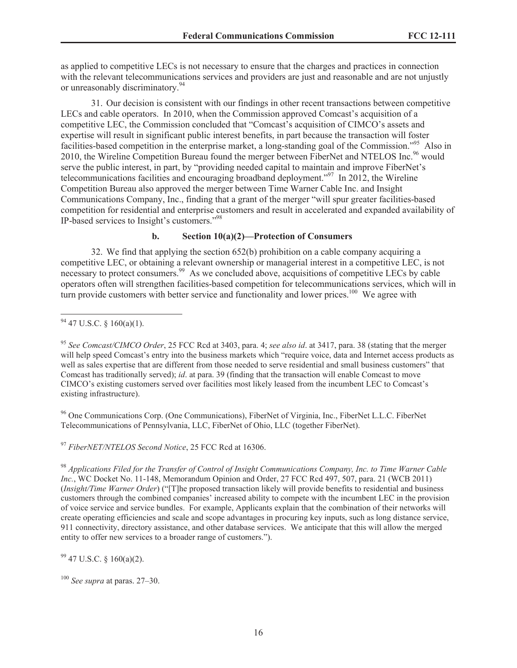as applied to competitive LECs is not necessary to ensure that the charges and practices in connection with the relevant telecommunications services and providers are just and reasonable and are not unjustly or unreasonably discriminatory.<sup>94</sup>

31. Our decision is consistent with our findings in other recent transactions between competitive LECs and cable operators. In 2010, when the Commission approved Comcast's acquisition of a competitive LEC, the Commission concluded that "Comcast's acquisition of CIMCO's assets and expertise will result in significant public interest benefits, in part because the transaction will foster facilities-based competition in the enterprise market, a long-standing goal of the Commission."<sup>95</sup> Also in 2010, the Wireline Competition Bureau found the merger between FiberNet and NTELOS Inc.<sup>96</sup> would serve the public interest, in part, by "providing needed capital to maintain and improve FiberNet's telecommunications facilities and encouraging broadband deployment."<sup>97</sup> In 2012, the Wireline Competition Bureau also approved the merger between Time Warner Cable Inc. and Insight Communications Company, Inc., finding that a grant of the merger "will spur greater facilities-based competition for residential and enterprise customers and result in accelerated and expanded availability of IP-based services to Insight's customers."<sup>98</sup>

#### **b. Section 10(a)(2)—Protection of Consumers**

32. We find that applying the section 652(b) prohibition on a cable company acquiring a competitive LEC, or obtaining a relevant ownership or managerial interest in a competitive LEC, is not necessary to protect consumers.<sup>99</sup> As we concluded above, acquisitions of competitive LECs by cable operators often will strengthen facilities-based competition for telecommunications services, which will in turn provide customers with better service and functionality and lower prices.<sup>100</sup> We agree with

<sup>95</sup> *See Comcast/CIMCO Order*, 25 FCC Rcd at 3403, para. 4; *see also id*. at 3417, para. 38 (stating that the merger will help speed Comcast's entry into the business markets which "require voice, data and Internet access products as well as sales expertise that are different from those needed to serve residential and small business customers" that Comcast has traditionally served); *id*. at para. 39 (finding that the transaction will enable Comcast to move CIMCO's existing customers served over facilities most likely leased from the incumbent LEC to Comcast's existing infrastructure).

<sup>96</sup> One Communications Corp. (One Communications), FiberNet of Virginia, Inc., FiberNet L.L.C. FiberNet Telecommunications of Pennsylvania, LLC, FiberNet of Ohio, LLC (together FiberNet).

<sup>97</sup> *FiberNET/NTELOS Second Notice*, 25 FCC Rcd at 16306.

<sup>98</sup> *Applications Filed for the Transfer of Control of Insight Communications Company, Inc. to Time Warner Cable Inc.*, WC Docket No. 11-148, Memorandum Opinion and Order, 27 FCC Rcd 497, 507, para. 21 (WCB 2011) (*Insight/Time Warner Order*) ("[T]he proposed transaction likely will provide benefits to residential and business customers through the combined companies' increased ability to compete with the incumbent LEC in the provision of voice service and service bundles. For example, Applicants explain that the combination of their networks will create operating efficiencies and scale and scope advantages in procuring key inputs, such as long distance service, 911 connectivity, directory assistance, and other database services. We anticipate that this will allow the merged entity to offer new services to a broader range of customers.").

 $99$  47 U.S.C. § 160(a)(2).

 $94$  47 U.S.C. § 160(a)(1).

<sup>100</sup> *See supra* at paras. 27–30.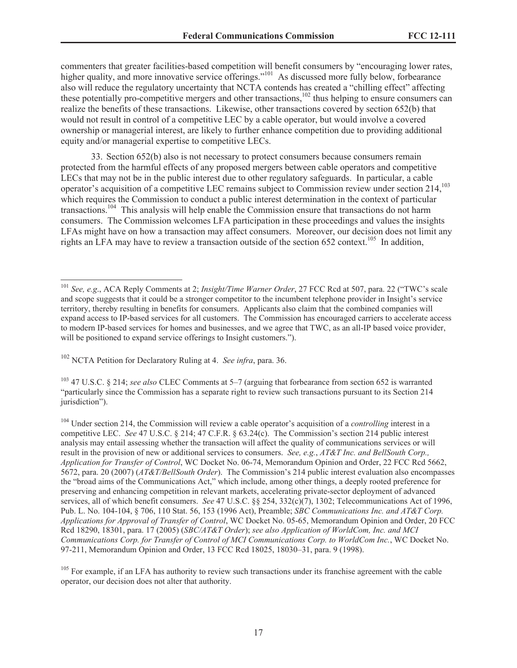commenters that greater facilities-based competition will benefit consumers by "encouraging lower rates, higher quality, and more innovative service offerings."<sup>101</sup> As discussed more fully below, forbearance also will reduce the regulatory uncertainty that NCTA contends has created a "chilling effect" affecting these potentially pro-competitive mergers and other transactions, $102$  thus helping to ensure consumers can realize the benefits of these transactions. Likewise, other transactions covered by section 652(b) that would not result in control of a competitive LEC by a cable operator, but would involve a covered ownership or managerial interest, are likely to further enhance competition due to providing additional equity and/or managerial expertise to competitive LECs.

33. Section 652(b) also is not necessary to protect consumers because consumers remain protected from the harmful effects of any proposed mergers between cable operators and competitive LECs that may not be in the public interest due to other regulatory safeguards. In particular, a cable operator's acquisition of a competitive LEC remains subject to Commission review under section 214,<sup>103</sup> which requires the Commission to conduct a public interest determination in the context of particular transactions.<sup>104</sup> This analysis will help enable the Commission ensure that transactions do not harm consumers. The Commission welcomes LFA participation in these proceedings and values the insights LFAs might have on how a transaction may affect consumers. Moreover, our decision does not limit any rights an LFA may have to review a transaction outside of the section 652 context.<sup>105</sup> In addition,

<sup>102</sup> NCTA Petition for Declaratory Ruling at 4. *See infra*, para. 36.

<sup>103</sup> 47 U.S.C. § 214; *see also* CLEC Comments at 5–7 (arguing that forbearance from section 652 is warranted "particularly since the Commission has a separate right to review such transactions pursuant to its Section 214 jurisdiction").

<sup>101</sup> *See, e.g*., ACA Reply Comments at 2; *Insight/Time Warner Order*, 27 FCC Rcd at 507, para. 22 ("TWC's scale and scope suggests that it could be a stronger competitor to the incumbent telephone provider in Insight's service territory, thereby resulting in benefits for consumers. Applicants also claim that the combined companies will expand access to IP-based services for all customers. The Commission has encouraged carriers to accelerate access to modern IP-based services for homes and businesses, and we agree that TWC, as an all-IP based voice provider, will be positioned to expand service offerings to Insight customers.").

<sup>104</sup> Under section 214, the Commission will review a cable operator's acquisition of a *controlling* interest in a competitive LEC. *See* 47 U.S.C. § 214; 47 C.F.R. § 63.24(c). The Commission's section 214 public interest analysis may entail assessing whether the transaction will affect the quality of communications services or will result in the provision of new or additional services to consumers. *See, e.g.*, *AT&T Inc. and BellSouth Corp., Application for Transfer of Control*, WC Docket No. 06-74, Memorandum Opinion and Order, 22 FCC Rcd 5662, 5672, para. 20 (2007) (*AT&T/BellSouth Order*). The Commission's 214 public interest evaluation also encompasses the "broad aims of the Communications Act," which include, among other things, a deeply rooted preference for preserving and enhancing competition in relevant markets, accelerating private-sector deployment of advanced services, all of which benefit consumers. *See* 47 U.S.C. §§ 254, 332(c)(7), 1302; Telecommunications Act of 1996, Pub. L. No. 104-104, § 706, 110 Stat. 56, 153 (1996 Act), Preamble; *SBC Communications Inc. and AT&T Corp. Applications for Approval of Transfer of Control*, WC Docket No. 05-65, Memorandum Opinion and Order, 20 FCC Rcd 18290, 18301, para. 17 (2005) (*SBC/AT&T Order*); *see also Application of WorldCom, Inc. and MCI Communications Corp. for Transfer of Control of MCI Communications Corp. to WorldCom Inc.*, WC Docket No. 97-211, Memorandum Opinion and Order, 13 FCC Rcd 18025, 18030–31, para. 9 (1998).

<sup>&</sup>lt;sup>105</sup> For example, if an LFA has authority to review such transactions under its franchise agreement with the cable operator, our decision does not alter that authority.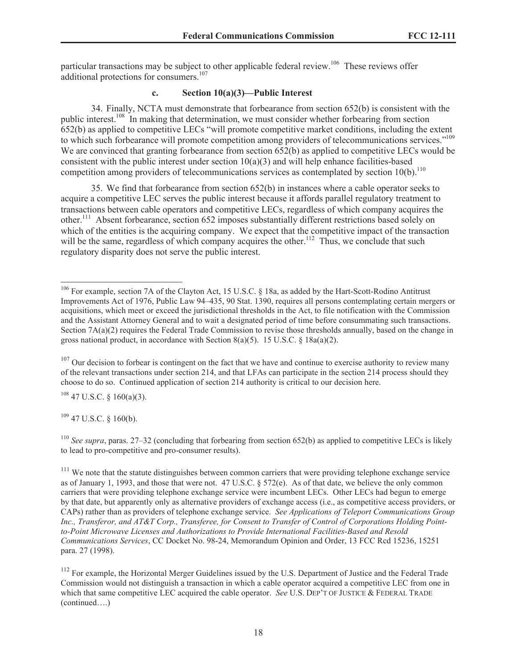particular transactions may be subject to other applicable federal review.<sup>106</sup> These reviews offer additional protections for consumers.<sup>107</sup>

# **c. Section 10(a)(3)—Public Interest**

34. Finally, NCTA must demonstrate that forbearance from section 652(b) is consistent with the public interest.<sup>108</sup> In making that determination, we must consider whether forbearing from section 652(b) as applied to competitive LECs "will promote competitive market conditions, including the extent to which such forbearance will promote competition among providers of telecommunications services."<sup>109</sup> We are convinced that granting forbearance from section 652(b) as applied to competitive LECs would be consistent with the public interest under section  $10(a)(3)$  and will help enhance facilities-based competition among providers of telecommunications services as contemplated by section 10(b).<sup>110</sup>

35. We find that forbearance from section 652(b) in instances where a cable operator seeks to acquire a competitive LEC serves the public interest because it affords parallel regulatory treatment to transactions between cable operators and competitive LECs, regardless of which company acquires the other.<sup>111</sup> Absent forbearance, section 652 imposes substantially different restrictions based solely on which of the entities is the acquiring company. We expect that the competitive impact of the transaction will be the same, regardless of which company acquires the other.<sup>112</sup> Thus, we conclude that such regulatory disparity does not serve the public interest.

 $108$  47 U.S.C. § 160(a)(3).

 $109$  47 U.S.C. § 160(b).

<sup>110</sup> *See supra*, paras. 27–32 (concluding that forbearing from section 652(b) as applied to competitive LECs is likely to lead to pro-competitive and pro-consumer results).

<sup>106</sup> For example, section 7A of the Clayton Act, 15 U.S.C. § 18a, as added by the Hart-Scott-Rodino Antitrust Improvements Act of 1976, Public Law 94–435, 90 Stat. 1390, requires all persons contemplating certain mergers or acquisitions, which meet or exceed the jurisdictional thresholds in the Act, to file notification with the Commission and the Assistant Attorney General and to wait a designated period of time before consummating such transactions. Section 7A(a)(2) requires the Federal Trade Commission to revise those thresholds annually, based on the change in gross national product, in accordance with Section 8(a)(5). 15 U.S.C.  $\S$  18a(a)(2).

 $107$  Our decision to forbear is contingent on the fact that we have and continue to exercise authority to review many of the relevant transactions under section 214, and that LFAs can participate in the section 214 process should they choose to do so. Continued application of section 214 authority is critical to our decision here.

<sup>&</sup>lt;sup>111</sup> We note that the statute distinguishes between common carriers that were providing telephone exchange service as of January 1, 1993, and those that were not. 47 U.S.C. § 572(e). As of that date, we believe the only common carriers that were providing telephone exchange service were incumbent LECs. Other LECs had begun to emerge by that date, but apparently only as alternative providers of exchange access (i.e., as competitive access providers, or CAPs) rather than as providers of telephone exchange service. *See Applications of Teleport Communications Group Inc., Transferor, and AT&T Corp., Transferee, for Consent to Transfer of Control of Corporations Holding Pointto-Point Microwave Licenses and Authorizations to Provide International Facilities-Based and Resold Communications Services*, CC Docket No. 98-24, Memorandum Opinion and Order, 13 FCC Rcd 15236, 15251 para. 27 (1998).

<sup>&</sup>lt;sup>112</sup> For example, the Horizontal Merger Guidelines issued by the U.S. Department of Justice and the Federal Trade Commission would not distinguish a transaction in which a cable operator acquired a competitive LEC from one in which that same competitive LEC acquired the cable operator. *See* U.S. DEP'T OF JUSTICE & FEDERAL TRADE (continued….)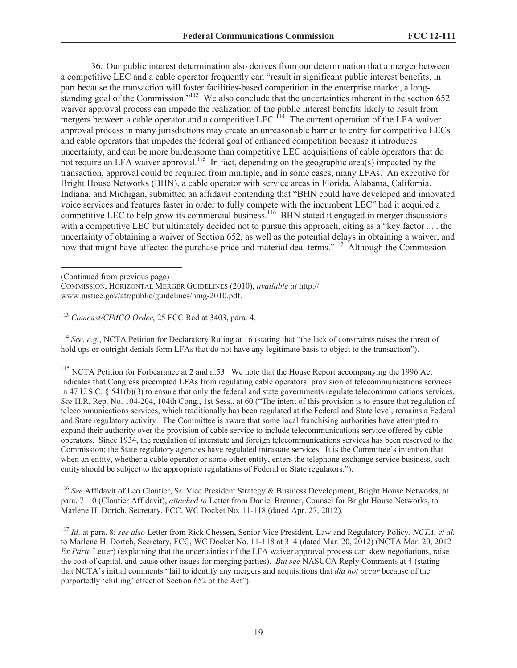36. Our public interest determination also derives from our determination that a merger between a competitive LEC and a cable operator frequently can "result in significant public interest benefits, in part because the transaction will foster facilities-based competition in the enterprise market, a longstanding goal of the Commission."<sup>113</sup> We also conclude that the uncertainties inherent in the section 652 waiver approval process can impede the realization of the public interest benefits likely to result from mergers between a cable operator and a competitive LEC.<sup>114</sup> The current operation of the LFA waiver approval process in many jurisdictions may create an unreasonable barrier to entry for competitive LECs and cable operators that impedes the federal goal of enhanced competition because it introduces uncertainty, and can be more burdensome than competitive LEC acquisitions of cable operators that do not require an LFA waiver approval.<sup>115</sup> In fact, depending on the geographic area(s) impacted by the transaction, approval could be required from multiple, and in some cases, many LFAs. An executive for Bright House Networks (BHN), a cable operator with service areas in Florida, Alabama, California, Indiana, and Michigan, submitted an affidavit contending that "BHN could have developed and innovated voice services and features faster in order to fully compete with the incumbent LEC" had it acquired a competitive LEC to help grow its commercial business.<sup>116</sup> BHN stated it engaged in merger discussions with a competitive LEC but ultimately decided not to pursue this approach, citing as a "key factor . . . the uncertainty of obtaining a waiver of Section 652, as well as the potential delays in obtaining a waiver, and how that might have affected the purchase price and material deal terms."<sup>117</sup> Although the Commission

<sup>113</sup> *Comcast/CIMCO Order*, 25 FCC Rcd at 3403, para. 4.

<sup>114</sup> *See, e.g.*, NCTA Petition for Declaratory Ruling at 16 (stating that "the lack of constraints raises the threat of hold ups or outright denials form LFAs that do not have any legitimate basis to object to the transaction").

 $115$  NCTA Petition for Forbearance at 2 and n.53. We note that the House Report accompanying the 1996 Act indicates that Congress preempted LFAs from regulating cable operators' provision of telecommunications services in 47 U.S.C. § 541(b)(3) to ensure that only the federal and state governments regulate telecommunications services. *See* H.R. Rep. No. 104-204, 104th Cong., 1st Sess., at 60 ("The intent of this provision is to ensure that regulation of telecommunications services, which traditionally has been regulated at the Federal and State level, remains a Federal and State regulatory activity. The Committee is aware that some local franchising authorities have attempted to expand their authority over the provision of cable service to include telecommunications service offered by cable operators. Since 1934, the regulation of interstate and foreign telecommunications services has been reserved to the Commission; the State regulatory agencies have regulated intrastate services. It is the Committee's intention that when an entity, whether a cable operator or some other entity, enters the telephone exchange service business, such entity should be subject to the appropriate regulations of Federal or State regulators.").

<sup>116</sup> *See* Affidavit of Leo Cloutier, Sr. Vice President Strategy & Business Development, Bright House Networks, at para. 7–10 (Cloutier Affidavit), *attached to* Letter from Daniel Brenner, Counsel for Bright House Networks, to Marlene H. Dortch, Secretary, FCC, WC Docket No. 11-118 (dated Apr. 27, 2012).

<sup>117</sup> *Id*. at para. 8; *see also* Letter from Rick Chessen, Senior Vice President, Law and Regulatory Policy, *NCTA*, *et al.* to Marlene H. Dortch, Secretary, FCC, WC Docket No. 11-118 at 3–4 (dated Mar. 20, 2012) (NCTA Mar. 20, 2012 *Ex Parte* Letter) (explaining that the uncertainties of the LFA waiver approval process can skew negotiations, raise the cost of capital, and cause other issues for merging parties). *But see* NASUCA Reply Comments at 4 (stating that NCTA's initial comments "fail to identify any mergers and acquisitions that *did not occur* because of the purportedly 'chilling' effect of Section 652 of the Act").

<sup>(</sup>Continued from previous page)

COMMISSION, HORIZONTAL MERGER GUIDELINES (2010), *available at* http:// www.justice.gov/atr/public/guidelines/hmg-2010.pdf.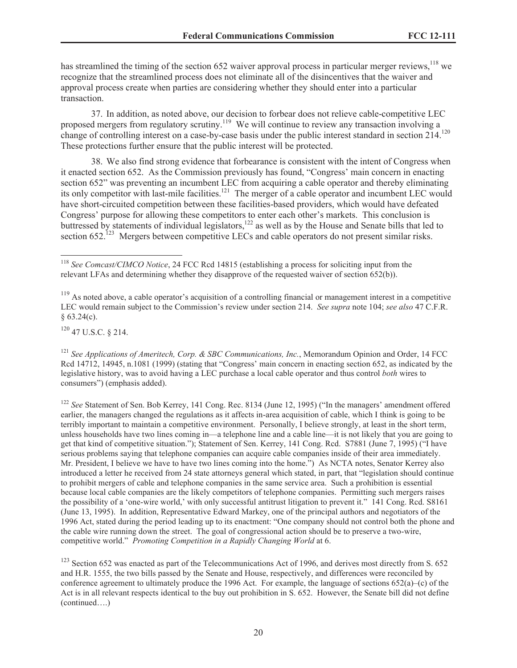has streamlined the timing of the section 652 waiver approval process in particular merger reviews,<sup>118</sup> we recognize that the streamlined process does not eliminate all of the disincentives that the waiver and approval process create when parties are considering whether they should enter into a particular transaction.

37. In addition, as noted above, our decision to forbear does not relieve cable-competitive LEC proposed mergers from regulatory scrutiny.<sup>119</sup> We will continue to review any transaction involving a change of controlling interest on a case-by-case basis under the public interest standard in section 214.<sup>120</sup> These protections further ensure that the public interest will be protected.

38. We also find strong evidence that forbearance is consistent with the intent of Congress when it enacted section 652. As the Commission previously has found, "Congress' main concern in enacting section 652" was preventing an incumbent LEC from acquiring a cable operator and thereby eliminating its only competitor with last-mile facilities.<sup>121</sup> The merger of a cable operator and incumbent LEC would have short-circuited competition between these facilities-based providers, which would have defeated Congress' purpose for allowing these competitors to enter each other's markets. This conclusion is buttressed by statements of individual legislators,<sup>122</sup> as well as by the House and Senate bills that led to section 652.<sup>123</sup> Mergers between competitive LECs and cable operators do not present similar risks.

 $120$  47 U.S.C. 8 214

<sup>122</sup> *See* Statement of Sen. Bob Kerrey, 141 Cong. Rec. 8134 (June 12, 1995) ("In the managers' amendment offered earlier, the managers changed the regulations as it affects in-area acquisition of cable, which I think is going to be terribly important to maintain a competitive environment. Personally, I believe strongly, at least in the short term, unless households have two lines coming in—a telephone line and a cable line—it is not likely that you are going to get that kind of competitive situation."); Statement of Sen. Kerrey, 141 Cong. Rcd. S7881 (June 7, 1995) ("I have serious problems saying that telephone companies can acquire cable companies inside of their area immediately. Mr. President, I believe we have to have two lines coming into the home.") As NCTA notes, Senator Kerrey also introduced a letter he received from 24 state attorneys general which stated, in part, that "legislation should continue to prohibit mergers of cable and telephone companies in the same service area. Such a prohibition is essential because local cable companies are the likely competitors of telephone companies. Permitting such mergers raises the possibility of a 'one-wire world,' with only successful antitrust litigation to prevent it." 141 Cong. Rcd. S8161 (June 13, 1995). In addition, Representative Edward Markey, one of the principal authors and negotiators of the 1996 Act, stated during the period leading up to its enactment: "One company should not control both the phone and the cable wire running down the street. The goal of congressional action should be to preserve a two-wire, competitive world." *Promoting Competition in a Rapidly Changing World* at 6.

<sup>123</sup> Section 652 was enacted as part of the Telecommunications Act of 1996, and derives most directly from S. 652 and H.R. 1555, the two bills passed by the Senate and House, respectively, and differences were reconciled by conference agreement to ultimately produce the 1996 Act. For example, the language of sections  $652(a)$ –(c) of the Act is in all relevant respects identical to the buy out prohibition in S. 652. However, the Senate bill did not define (continued….)

<sup>118</sup> *See Comcast/CIMCO Notice*, 24 FCC Rcd 14815 (establishing a process for soliciting input from the relevant LFAs and determining whether they disapprove of the requested waiver of section 652(b)).

 $119$  As noted above, a cable operator's acquisition of a controlling financial or management interest in a competitive LEC would remain subject to the Commission's review under section 214. *See supra* note 104; *see also* 47 C.F.R.  $§ 63.24(c).$ 

<sup>121</sup> *See Applications of Ameritech, Corp. & SBC Communications, Inc.*, Memorandum Opinion and Order, 14 FCC Rcd 14712, 14945, n.1081 (1999) (stating that "Congress' main concern in enacting section 652, as indicated by the legislative history, was to avoid having a LEC purchase a local cable operator and thus control *both* wires to consumers") (emphasis added).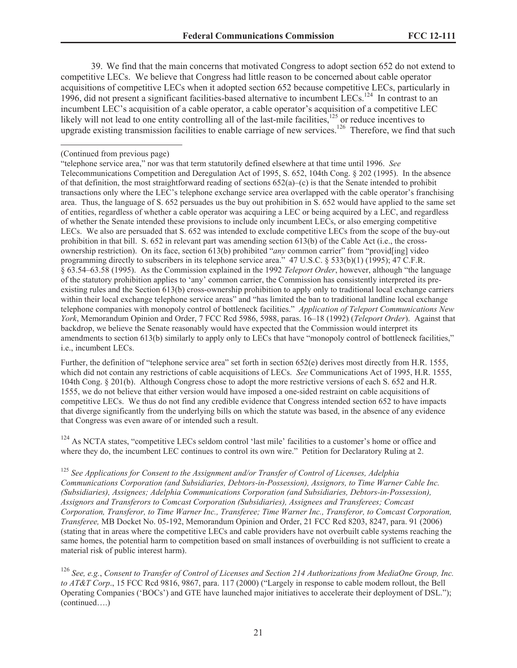39. We find that the main concerns that motivated Congress to adopt section 652 do not extend to competitive LECs. We believe that Congress had little reason to be concerned about cable operator acquisitions of competitive LECs when it adopted section 652 because competitive LECs, particularly in 1996, did not present a significant facilities-based alternative to incumbent LECs.<sup>124</sup> In contrast to an incumbent LEC's acquisition of a cable operator, a cable operator's acquisition of a competitive LEC likely will not lead to one entity controlling all of the last-mile facilities, $125$  or reduce incentives to upgrade existing transmission facilities to enable carriage of new services.<sup>126</sup> Therefore, we find that such

Further, the definition of "telephone service area" set forth in section 652(e) derives most directly from H.R. 1555, which did not contain any restrictions of cable acquisitions of LECs. *See* Communications Act of 1995, H.R. 1555, 104th Cong. § 201(b). Although Congress chose to adopt the more restrictive versions of each S. 652 and H.R. 1555, we do not believe that either version would have imposed a one-sided restraint on cable acquisitions of competitive LECs. We thus do not find any credible evidence that Congress intended section 652 to have impacts that diverge significantly from the underlying bills on which the statute was based, in the absence of any evidence that Congress was even aware of or intended such a result.

<sup>124</sup> As NCTA states, "competitive LECs seldom control 'last mile' facilities to a customer's home or office and where they do, the incumbent LEC continues to control its own wire." Petition for Declaratory Ruling at 2.

<sup>125</sup> *See Applications for Consent to the Assignment and/or Transfer of Control of Licenses, Adelphia Communications Corporation (and Subsidiaries, Debtors-in-Possession), Assignors, to Time Warner Cable Inc. (Subsidiaries), Assignees; Adelphia Communications Corporation (and Subsidiaries, Debtors-in-Possession), Assignors and Transferors to Comcast Corporation (Subsidiaries), Assignees and Transferees; Comcast Corporation, Transferor, to Time Warner Inc., Transferee; Time Warner Inc., Transferor, to Comcast Corporation, Transferee,* MB Docket No. 05-192, Memorandum Opinion and Order, 21 FCC Rcd 8203, 8247, para. 91 (2006) (stating that in areas where the competitive LECs and cable providers have not overbuilt cable systems reaching the same homes, the potential harm to competition based on small instances of overbuilding is not sufficient to create a material risk of public interest harm).

<sup>126</sup> *See, e.g.*, *Consent to Transfer of Control of Licenses and Section 214 Authorizations from MediaOne Group, Inc. to AT&T Corp*., 15 FCC Rcd 9816, 9867, para. 117 (2000) ("Largely in response to cable modem rollout, the Bell Operating Companies ('BOCs') and GTE have launched major initiatives to accelerate their deployment of DSL."); (continued….)

<sup>(</sup>Continued from previous page)

<sup>&</sup>quot;telephone service area," nor was that term statutorily defined elsewhere at that time until 1996. *See* Telecommunications Competition and Deregulation Act of 1995, S. 652, 104th Cong. § 202 (1995). In the absence of that definition, the most straightforward reading of sections  $652(a)$ –(c) is that the Senate intended to prohibit transactions only where the LEC's telephone exchange service area overlapped with the cable operator's franchising area. Thus, the language of S. 652 persuades us the buy out prohibition in S. 652 would have applied to the same set of entities, regardless of whether a cable operator was acquiring a LEC or being acquired by a LEC, and regardless of whether the Senate intended these provisions to include only incumbent LECs, or also emerging competitive LECs. We also are persuaded that S. 652 was intended to exclude competitive LECs from the scope of the buy-out prohibition in that bill. S. 652 in relevant part was amending section 613(b) of the Cable Act (i.e., the crossownership restriction). On its face, section 613(b) prohibited "*any* common carrier" from "provid[ing] video programming directly to subscribers in its telephone service area." 47 U.S.C. § 533(b)(1) (1995); 47 C.F.R. § 63.54–63.58 (1995). As the Commission explained in the 1992 *Teleport Order*, however, although "the language of the statutory prohibition applies to 'any' common carrier, the Commission has consistently interpreted its preexisting rules and the Section 613(b) cross-ownership prohibition to apply only to traditional local exchange carriers within their local exchange telephone service areas" and "has limited the ban to traditional landline local exchange telephone companies with monopoly control of bottleneck facilities." *Application of Teleport Communications New York*, Memorandum Opinion and Order, 7 FCC Rcd 5986, 5988, paras. 16–18 (1992) (*Teleport Order*). Against that backdrop, we believe the Senate reasonably would have expected that the Commission would interpret its amendments to section 613(b) similarly to apply only to LECs that have "monopoly control of bottleneck facilities," i.e., incumbent LECs.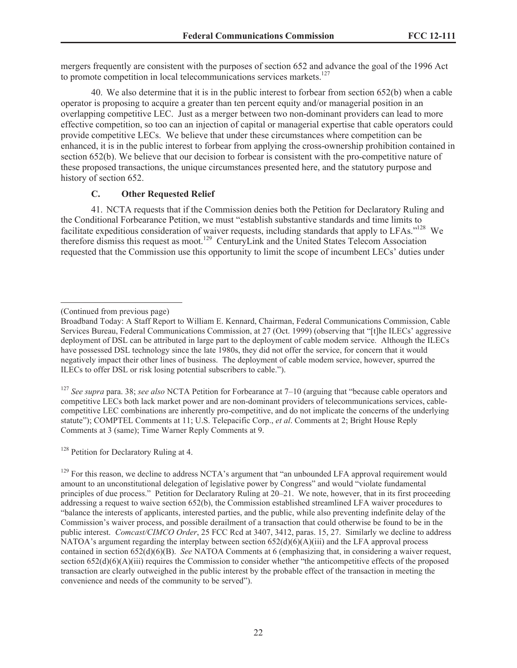mergers frequently are consistent with the purposes of section 652 and advance the goal of the 1996 Act to promote competition in local telecommunications services markets.<sup>127</sup>

40. We also determine that it is in the public interest to forbear from section 652(b) when a cable operator is proposing to acquire a greater than ten percent equity and/or managerial position in an overlapping competitive LEC. Just as a merger between two non-dominant providers can lead to more effective competition, so too can an injection of capital or managerial expertise that cable operators could provide competitive LECs. We believe that under these circumstances where competition can be enhanced, it is in the public interest to forbear from applying the cross-ownership prohibition contained in section 652(b). We believe that our decision to forbear is consistent with the pro-competitive nature of these proposed transactions, the unique circumstances presented here, and the statutory purpose and history of section 652.

# **C. Other Requested Relief**

41. NCTA requests that if the Commission denies both the Petition for Declaratory Ruling and the Conditional Forbearance Petition, we must "establish substantive standards and time limits to facilitate expeditious consideration of waiver requests, including standards that apply to LFAs."<sup>128</sup> We therefore dismiss this request as moot.<sup>129</sup> CenturyLink and the United States Telecom Association requested that the Commission use this opportunity to limit the scope of incumbent LECs' duties under

<sup>127</sup> *See supra* para. 38; *see also* NCTA Petition for Forbearance at 7–10 (arguing that "because cable operators and competitive LECs both lack market power and are non-dominant providers of telecommunications services, cablecompetitive LEC combinations are inherently pro-competitive, and do not implicate the concerns of the underlying statute"); COMPTEL Comments at 11; U.S. Telepacific Corp., *et al*. Comments at 2; Bright House Reply Comments at 3 (same); Time Warner Reply Comments at 9.

<sup>128</sup> Petition for Declaratory Ruling at 4.

<sup>(</sup>Continued from previous page)

Broadband Today: A Staff Report to William E. Kennard, Chairman, Federal Communications Commission, Cable Services Bureau, Federal Communications Commission, at 27 (Oct. 1999) (observing that "[t]he ILECs' aggressive deployment of DSL can be attributed in large part to the deployment of cable modem service. Although the ILECs have possessed DSL technology since the late 1980s, they did not offer the service, for concern that it would negatively impact their other lines of business. The deployment of cable modem service, however, spurred the ILECs to offer DSL or risk losing potential subscribers to cable.").

<sup>&</sup>lt;sup>129</sup> For this reason, we decline to address NCTA's argument that "an unbounded LFA approval requirement would amount to an unconstitutional delegation of legislative power by Congress" and would "violate fundamental principles of due process." Petition for Declaratory Ruling at 20–21. We note, however, that in its first proceeding addressing a request to waive section 652(b), the Commission established streamlined LFA waiver procedures to "balance the interests of applicants, interested parties, and the public, while also preventing indefinite delay of the Commission's waiver process, and possible derailment of a transaction that could otherwise be found to be in the public interest. *Comcast/CIMCO Order*, 25 FCC Rcd at 3407, 3412, paras. 15, 27. Similarly we decline to address NATOA's argument regarding the interplay between section  $652(d)(6)(A)(iii)$  and the LFA approval process contained in section 652(d)(6)(B). *See* NATOA Comments at 6 (emphasizing that, in considering a waiver request, section  $652(d)(6)(A)(iii)$  requires the Commission to consider whether "the anticompetitive effects of the proposed transaction are clearly outweighed in the public interest by the probable effect of the transaction in meeting the convenience and needs of the community to be served").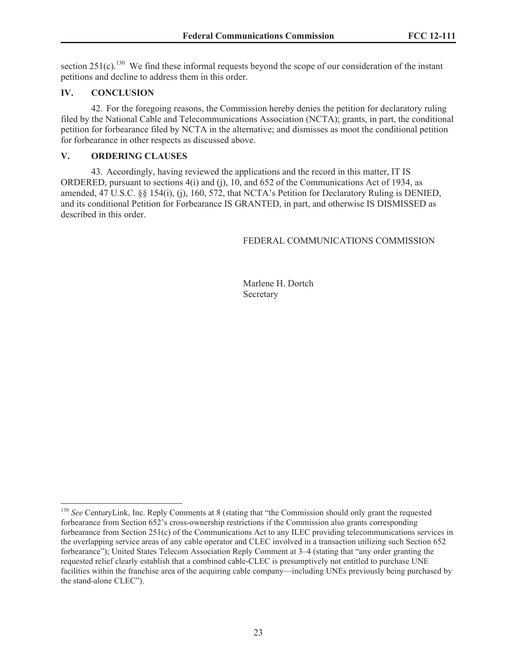section  $251(c)$ <sup>130</sup> We find these informal requests beyond the scope of our consideration of the instant petitions and decline to address them in this order.

# **IV. CONCLUSION**

42. For the foregoing reasons, the Commission hereby denies the petition for declaratory ruling filed by the National Cable and Telecommunications Association (NCTA); grants, in part, the conditional petition for forbearance filed by NCTA in the alternative; and dismisses as moot the conditional petition for forbearance in other respects as discussed above.

# **V. ORDERING CLAUSES**

43. Accordingly, having reviewed the applications and the record in this matter, IT IS ORDERED, pursuant to sections 4(i) and (j), 10, and 652 of the Communications Act of 1934, as amended, 47 U.S.C. §§ 154(i), (j), 160, 572, that NCTA's Petition for Declaratory Ruling is DENIED, and its conditional Petition for Forbearance IS GRANTED, in part, and otherwise IS DISMISSED as described in this order.

# FEDERAL COMMUNICATIONS COMMISSION

Marlene H. Dortch Secretary

<sup>&</sup>lt;sup>130</sup> See CenturyLink, Inc. Reply Comments at 8 (stating that "the Commission should only grant the requested forbearance from Section 652's cross-ownership restrictions if the Commission also grants corresponding forbearance from Section 251(c) of the Communications Act to any ILEC providing telecommunications services in the overlapping service areas of any cable operator and CLEC involved in a transaction utilizing such Section 652 forbearance"); United States Telecom Association Reply Comment at 3–4 (stating that "any order granting the requested relief clearly establish that a combined cable-CLEC is presumptively not entitled to purchase UNE facilities within the franchise area of the acquiring cable company—including UNEs previously being purchased by the stand-alone CLEC").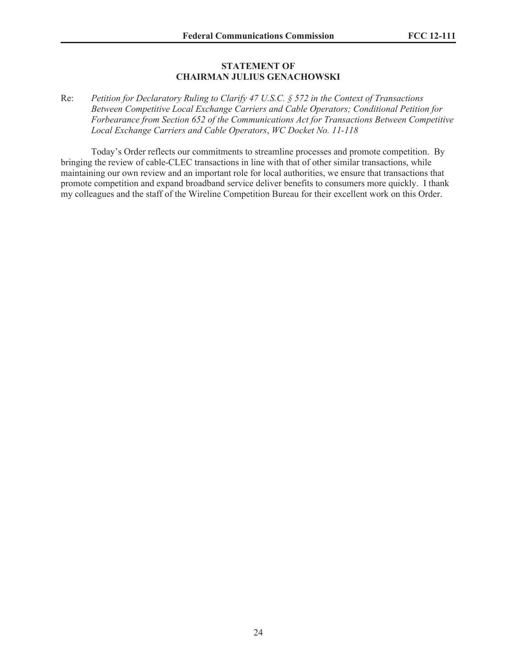#### **STATEMENT OF CHAIRMAN JULIUS GENACHOWSKI**

### Re: *Petition for Declaratory Ruling to Clarify 47 U.S.C. § 572 in the Context of Transactions Between Competitive Local Exchange Carriers and Cable Operators; Conditional Petition for Forbearance from Section 652 of the Communications Act for Transactions Between Competitive Local Exchange Carriers and Cable Operators*, *WC Docket No. 11-118*

Today's Order reflects our commitments to streamline processes and promote competition. By bringing the review of cable-CLEC transactions in line with that of other similar transactions, while maintaining our own review and an important role for local authorities, we ensure that transactions that promote competition and expand broadband service deliver benefits to consumers more quickly. I thank my colleagues and the staff of the Wireline Competition Bureau for their excellent work on this Order.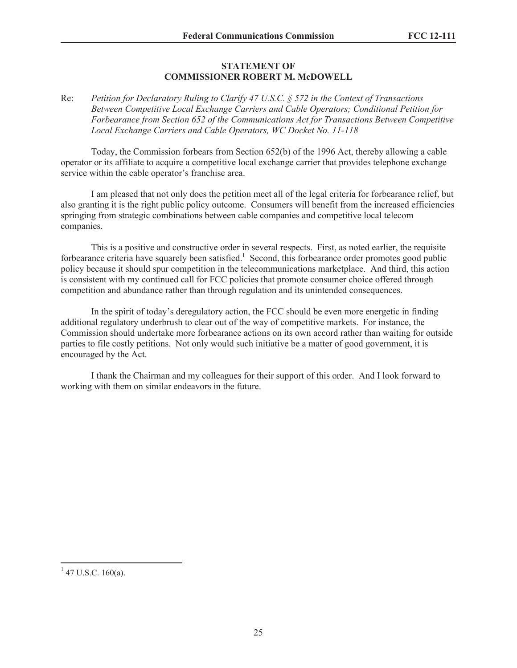# **STATEMENT OF COMMISSIONER ROBERT M. McDOWELL**

Re: *Petition for Declaratory Ruling to Clarify 47 U.S.C. § 572 in the Context of Transactions Between Competitive Local Exchange Carriers and Cable Operators; Conditional Petition for Forbearance from Section 652 of the Communications Act for Transactions Between Competitive Local Exchange Carriers and Cable Operators, WC Docket No. 11-118*

Today, the Commission forbears from Section 652(b) of the 1996 Act, thereby allowing a cable operator or its affiliate to acquire a competitive local exchange carrier that provides telephone exchange service within the cable operator's franchise area.

I am pleased that not only does the petition meet all of the legal criteria for forbearance relief, but also granting it is the right public policy outcome. Consumers will benefit from the increased efficiencies springing from strategic combinations between cable companies and competitive local telecom companies.

This is a positive and constructive order in several respects. First, as noted earlier, the requisite forbearance criteria have squarely been satisfied.<sup>1</sup> Second, this forbearance order promotes good public policy because it should spur competition in the telecommunications marketplace. And third, this action is consistent with my continued call for FCC policies that promote consumer choice offered through competition and abundance rather than through regulation and its unintended consequences.

In the spirit of today's deregulatory action, the FCC should be even more energetic in finding additional regulatory underbrush to clear out of the way of competitive markets. For instance, the Commission should undertake more forbearance actions on its own accord rather than waiting for outside parties to file costly petitions. Not only would such initiative be a matter of good government, it is encouraged by the Act.

I thank the Chairman and my colleagues for their support of this order. And I look forward to working with them on similar endeavors in the future.

 $1$  47 U.S.C. 160(a).